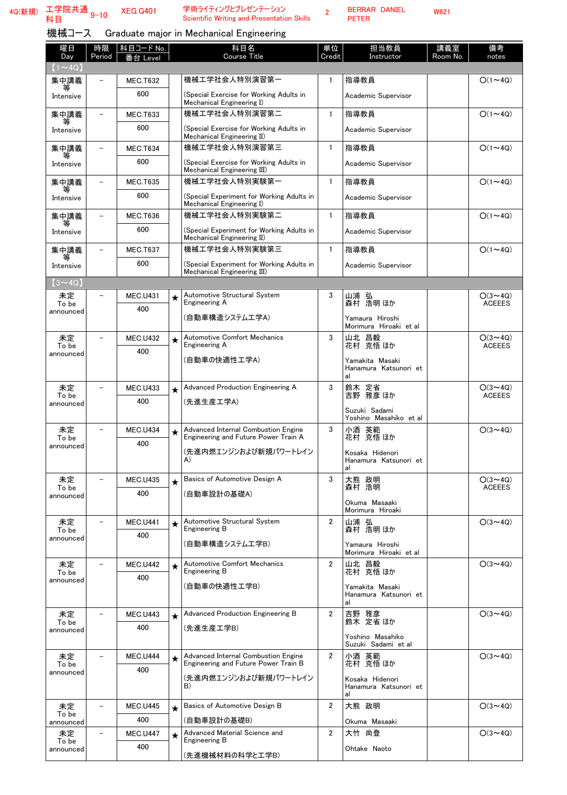学術ライティングとプレゼンテーション<br>Scientific Writing and Presentation Skills

2 BERRAR DANIEL PETER

機械コース Graduate major in Mechanical Engineering

| 曜日<br>Day                     | 時限<br>Period             | <u>科目コード No.</u> |          | 科目名<br>Course Title                                                         | 単位<br>Credit   | 担当教員<br>Instructor                             | 講義室<br>Room No. | 備考<br>notes                     |
|-------------------------------|--------------------------|------------------|----------|-----------------------------------------------------------------------------|----------------|------------------------------------------------|-----------------|---------------------------------|
| $(1\mathtt{\sim}4\mathrm{Q})$ |                          | 番台 Level         |          |                                                                             |                |                                                |                 |                                 |
| 集中講義                          |                          | <b>MEC.T632</b>  |          | 機械工学社会人特別演習第一                                                               | $\mathbf{1}$   | 指導教員                                           |                 | $O(1\sim 4Q)$                   |
| Intensive                     |                          | 600              |          | (Special Exercise for Working Adults in<br>Mechanical Engineering I)        |                | Academic Supervisor                            |                 |                                 |
| 集中講義                          |                          | <b>MEC.T633</b>  |          | 機械工学社会人特別演習第二                                                               | $\mathbf{1}$   | 指導教員                                           |                 | $O(1\sim 4Q)$                   |
| Intensive                     |                          | 600              |          | (Special Exercise for Working Adults in<br>Mechanical Engineering II)       |                | Academic Supervisor                            |                 |                                 |
| 集中講義                          |                          | <b>MEC.T634</b>  |          | 機械工学社会人特別演習第三                                                               | $\mathbf{1}$   | 指導教員                                           |                 | $O(1\sim 4Q)$                   |
| Intensive                     |                          | 600              |          | (Special Exercise for Working Adults in<br>Mechanical Engineering III)      |                | Academic Supervisor                            |                 |                                 |
| 集中講義                          |                          | <b>MEC.T635</b>  |          | 機械工学社会人特別実験第一                                                               | $\mathbf{1}$   | 指導教員                                           |                 | $O(1\sim 4Q)$                   |
| Intensive                     |                          | 600              |          | (Special Experiment for Working Adults in<br>Mechanical Engineering I)      |                | Academic Supervisor                            |                 |                                 |
| 集中講義                          |                          | <b>MEC.T636</b>  |          | 機械工学社会人特別実験第二                                                               | $\mathbf{1}$   | 指導教員                                           |                 | $O(1\sim 4Q)$                   |
| Intensive                     |                          | 600              |          | (Special Experiment for Working Adults in<br>Mechanical Engineering II)     |                | Academic Supervisor                            |                 |                                 |
| 集中講義                          |                          | <b>MEC.T637</b>  |          | 機械工学社会人特別実験第三                                                               | $\mathbf{1}$   | 指導教員                                           |                 | $O(1\sim 4Q)$                   |
| Intensive                     |                          | 600              |          | (Special Experiment for Working Adults in<br>Mechanical Engineering III)    |                | Academic Supervisor                            |                 |                                 |
| $(3 \sim 4Q)$                 |                          |                  |          |                                                                             |                |                                                |                 |                                 |
| 未定<br>To be<br>announced      |                          | MEC.U431<br>400  | $\star$  | Automotive Structural System<br>Engineering A                               | 3              | 山浦 弘<br>森村 浩明ほか                                |                 | $O(3 \sim 4Q)$<br><b>ACEEES</b> |
|                               |                          |                  |          | (自動車構造システムエ学A)                                                              |                | Yamaura Hiroshi<br>Morimura Hiroaki et al      |                 |                                 |
| 未定<br>To be                   |                          | <b>MEC.U432</b>  | $\star$  | Automotive Comfort Mechanics<br>Engineering A                               | 3              | 山北 昌毅<br>花村 克悟 ほか                              |                 | $O(3 \sim 4Q)$<br><b>ACEEES</b> |
| announced                     |                          | 400              |          | (自動車の快適性工学A)                                                                |                | Yamakita Masaki<br>Hanamura Katsunori et<br>al |                 |                                 |
| 未定                            |                          | <b>MEC.U433</b>  | $\star$  | Advanced Production Engineering A                                           | 3              | 鈴木 定省                                          |                 | $O(3 \sim 4Q)$                  |
| To be<br>announced            |                          | 400              |          | (先進生産工学A)                                                                   |                | 吉野 雅彦 ほか                                       |                 | <b>ACEEES</b>                   |
|                               |                          |                  |          |                                                                             |                | Suzuki Sadami<br>Yoshino Masahiko et al        |                 |                                 |
| 未定                            |                          | <b>MEC.U434</b>  |          | Advanced Internal Combustion Engine                                         | 3              | 小酒 英範<br>花村 克悟ほか                               |                 | $O(3 \sim 4Q)$                  |
| To be<br>announced            |                          | 400              |          | Engineering and Future Power Train A                                        |                |                                                |                 |                                 |
|                               |                          |                  |          | (先進内燃エンジンおよび新規パワートレイン<br>A)                                                 |                | Kosaka Hidenori<br>Hanamura Katsunori et<br>al |                 |                                 |
| 未定                            |                          | <b>MEC.U435</b>  | $^\star$ | Basics of Automotive Design A                                               | 3              | 大熊 政明                                          |                 | $O(3 \sim 4Q)$                  |
| To be<br>announced            |                          | 400              |          | (自動車設計の基礎A)                                                                 |                | 森村 浩明                                          |                 | <b>ACEEES</b>                   |
|                               |                          |                  |          |                                                                             |                | Okuma Masaaki<br>Morimura Hiroaki              |                 |                                 |
| 未定<br>To be                   |                          | <b>MEC.U441</b>  | $\star$  | Automotive Structural System<br>Engineering B                               | $\overline{2}$ | 山浦 弘<br>森村 浩明ほか                                |                 | $O(3 \sim 4Q)$                  |
| announced                     |                          | 400              |          | (自動車構造システムエ学B)                                                              |                | Yamaura Hiroshi                                |                 |                                 |
|                               |                          |                  |          |                                                                             |                | Morimura Hiroaki et al                         |                 |                                 |
| 未定<br>To be                   | $\overline{\phantom{a}}$ | <b>MEC.U442</b>  | $\star$  | <b>Automotive Comfort Mechanics</b><br>Engineering B                        | $\overline{2}$ | 山北 昌毅<br>花村 克悟ほか                               |                 | $O(3 \sim 4Q)$                  |
| announced                     |                          | 400              |          | (自動車の快適性工学B)                                                                |                | Yamakita Masaki<br>Hanamura Katsunori et       |                 |                                 |
| 未定                            |                          | <b>MEC.U443</b>  | $\star$  | Advanced Production Engineering B                                           | $\overline{2}$ | al                                             |                 | $O(3 \sim 4Q)$                  |
| To be<br>announced            |                          | 400              |          | (先進生産工学B)                                                                   |                | 吉野 雅彦<br>鈴木 定省ほか                               |                 |                                 |
|                               |                          |                  |          |                                                                             |                | Yoshino Masahiko<br>Suzuki Sadami et al        |                 |                                 |
| 未定<br>To be                   |                          | <b>MEC.U444</b>  | $\star$  | Advanced Internal Combustion Engine<br>Engineering and Future Power Train B | $\overline{2}$ | 小酒 英範<br>花村 克悟 ほか                              |                 | $O(3 \sim 4Q)$                  |
| announced                     |                          | 400              |          | (先進内燃エンジンおよび新規パワートレイン                                                       |                | Kosaka Hidenori                                |                 |                                 |
|                               |                          |                  |          | B)                                                                          |                | Hanamura Katsunori et<br>al                    |                 |                                 |
| 未定                            |                          | <b>MEC.U445</b>  | $\star$  | Basics of Automotive Design B                                               | $\overline{2}$ | 大熊 政明                                          |                 | $O(3 \sim 4Q)$                  |
| To be<br>announced            |                          | 400              |          | (自動車設計の基礎B)                                                                 |                | Okuma Masaaki                                  |                 |                                 |
| 未定<br>To be                   |                          | <b>MEC.U447</b>  | $\star$  | Advanced Material Science and<br>Engineering B                              | $\overline{2}$ | 大竹 尚登                                          |                 | $O(3 \sim 4Q)$                  |
| announced                     |                          | 400              |          | (先進機械材料の科学と工学B)                                                             |                | Ohtake Naoto                                   |                 |                                 |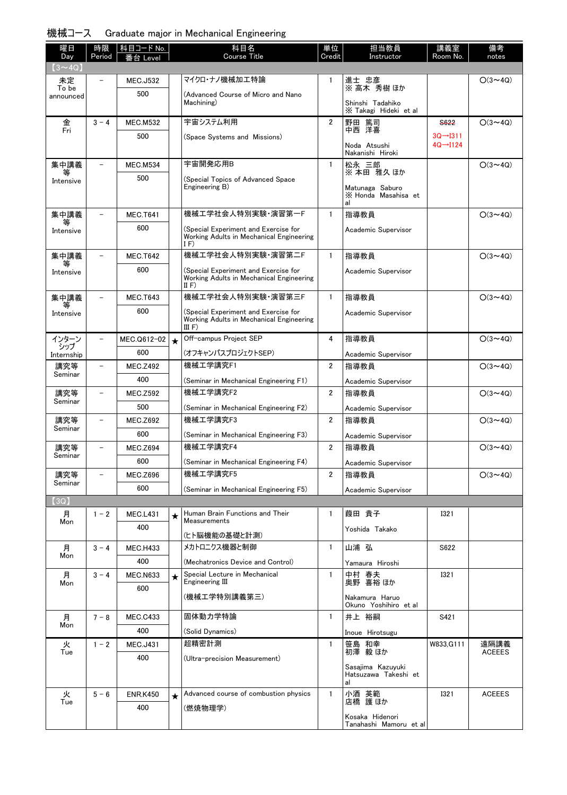## 機械コース Graduate major in Mechanical Engineering

| 曜日                | 時限                       | 科目コード No.       |         | 科目名                                                                                     | 単位             | 担当教員                                     | 講義室                                            | 備考             |
|-------------------|--------------------------|-----------------|---------|-----------------------------------------------------------------------------------------|----------------|------------------------------------------|------------------------------------------------|----------------|
| Day               | Period                   | Level           |         | <b>Course Title</b>                                                                     | Credit         | Instructor                               | Room No.                                       | notes          |
| $(3 - 4Q)$<br>未定  |                          | <b>MEC.J532</b> |         | マイクロ・ナノ機械加工特論                                                                           | $\mathbf{1}$   | 進士 忠彦                                    |                                                | $O(3 \sim 4Q)$ |
| To be             |                          | 500             |         | (Advanced Course of Micro and Nano                                                      |                | ※ 高木 秀樹 ほか                               |                                                |                |
| announced         |                          |                 |         | Machining)                                                                              |                | Shinshi Tadahiko                         |                                                |                |
|                   |                          |                 |         | 宇宙システム利用                                                                                |                | X Takagi Hideki et al                    |                                                |                |
| 金<br>Fri          | $3 - 4$                  | <b>MEC.M532</b> |         |                                                                                         | $\overline{2}$ | 野田 篤司<br>中西 洋喜                           | S622                                           | $O(3 \sim 4Q)$ |
|                   |                          | 500             |         | (Space Systems and Missions)                                                            |                | Noda Atsushi                             | $3Q \rightarrow 1311$<br>$4Q \rightarrow 1124$ |                |
|                   |                          |                 |         |                                                                                         |                | Nakanishi Hiroki                         |                                                |                |
| 集中講義<br>等         | $\overline{\phantom{0}}$ | <b>MEC.M534</b> |         | 宇宙開発応用B                                                                                 | $\mathbf{1}$   | 松永 三郎<br>※本田 雅久 ほか                       |                                                | $O(3 \sim 4Q)$ |
| Intensive         |                          | 500             |         | (Special Topics of Advanced Space<br>Engineering B)                                     |                | Matunaga Saburo                          |                                                |                |
|                   |                          |                 |         |                                                                                         |                | X Honda Masahisa et                      |                                                |                |
| 集中講義              | $\overline{\phantom{0}}$ | <b>MEC.T641</b> |         | 機械工学社会人特別実験·演習第一F                                                                       | $\mathbf{1}$   | al<br>指導教員                               |                                                | $O(3 \sim 4Q)$ |
| 等                 |                          | 600             |         |                                                                                         |                |                                          |                                                |                |
| Intensive         |                          |                 |         | (Special Experiment and Exercise for<br>Working Adults in Mechanical Engineering<br>IF) |                | Academic Supervisor                      |                                                |                |
| 集中講義              |                          | <b>MEC.T642</b> |         | 機械工学社会人特別実験·演習第二F                                                                       | $\mathbf{1}$   | 指導教員                                     |                                                | $O(3 \sim 4Q)$ |
| Intensive         |                          | 600             |         | (Special Experiment and Exercise for                                                    |                | Academic Supervisor                      |                                                |                |
|                   |                          |                 |         | Working Adults in Mechanical Engineering<br>II $F$                                      |                |                                          |                                                |                |
| 集中講義              |                          | <b>MEC.T643</b> |         | 機械工学社会人特別実験·演習第三F                                                                       | $\mathbf{1}$   | 指導教員                                     |                                                | $O(3 \sim 4Q)$ |
| 等<br>Intensive    |                          | 600             |         | (Special Experiment and Exercise for                                                    |                | Academic Supervisor                      |                                                |                |
|                   |                          |                 |         | Working Adults in Mechanical Engineering<br>III F)                                      |                |                                          |                                                |                |
| インターン             | $\equiv$                 | MEC.Q612-02     | $\star$ | Off-campus Project SEP                                                                  | 4              | 指導教員                                     |                                                | $O(3 \sim 4Q)$ |
| シップ<br>Internship |                          | 600             |         | (オフキャンパスプロジェクトSEP)                                                                      |                | Academic Supervisor                      |                                                |                |
| 講究等               | $\equiv$                 | <b>MEC.Z492</b> |         | 機械工学講究F1                                                                                | $\overline{2}$ | 指導教員                                     |                                                | $O(3 \sim 4Q)$ |
| Seminar           |                          | 400             |         | (Seminar in Mechanical Engineering F1)                                                  |                | Academic Supervisor                      |                                                |                |
| 講究等               |                          | <b>MEC.Z592</b> |         | 機械工学講究F2                                                                                | $\overline{2}$ | 指導教員                                     |                                                | $O(3 \sim 4Q)$ |
| Seminar           |                          | 500             |         | (Seminar in Mechanical Engineering F2)                                                  |                | Academic Supervisor                      |                                                |                |
| 講究等               |                          | <b>MEC.Z692</b> |         | 機械工学講究F3                                                                                | $\overline{2}$ | 指導教員                                     |                                                | $O(3 \sim 4Q)$ |
| Seminar           |                          | 600             |         | (Seminar in Mechanical Engineering F3)                                                  |                | Academic Supervisor                      |                                                |                |
| 講究等               |                          | <b>MEC.Z694</b> |         | 機械工学講究F4                                                                                | $\overline{2}$ | 指導教員                                     |                                                | $O(3 \sim 4Q)$ |
| Seminar           |                          | 600             |         | (Seminar in Mechanical Engineering F4)                                                  |                | Academic Supervisor                      |                                                |                |
| 講究等               | $\overline{\phantom{0}}$ | <b>MEC.Z696</b> |         | 機械工学講究F5                                                                                | 2              | 指導教員                                     |                                                | $O(3 \sim 4Q)$ |
| Seminar           |                          | 600             |         | (Seminar in Mechanical Engineering F5)                                                  |                | Academic Supervisor                      |                                                |                |
| (3Q)              |                          |                 |         |                                                                                         |                |                                          |                                                |                |
| 月                 | $1 - 2$                  | <b>MEC.L431</b> | ★       | Human Brain Functions and Their<br>Measurements                                         | 1              | 葭田 貴子                                    | 1321                                           |                |
| Mon               |                          | 400             |         | (ヒト脳機能の基礎と計測)                                                                           |                | Yoshida Takako                           |                                                |                |
| 月                 | $3 - 4$                  | <b>MEC.H433</b> |         | メカトロニクス機器と制御                                                                            | $\mathbf{1}$   | 山浦 弘                                     | S622                                           |                |
| Mon               |                          | 400             |         | (Mechatronics Device and Control)                                                       |                | Yamaura Hiroshi                          |                                                |                |
| 月                 | $3 - 4$                  | <b>MEC.N633</b> | ★       | Special Lecture in Mechanical                                                           | 1              |                                          | 1321                                           |                |
| Mon               |                          | 600             |         | Engineering III                                                                         |                | 中村 春夫<br>奥野 喜裕ほか                         |                                                |                |
|                   |                          |                 |         | (機械工学特別講義第三)                                                                            |                | Nakamura Haruo                           |                                                |                |
| 月                 | $7 - 8$                  | <b>MEC.C433</b> |         | 固体動力学特論                                                                                 | $\mathbf{1}$   | Okuno Yoshihiro et al<br>井上 裕嗣           | S421                                           |                |
| Mon               |                          | 400             |         | (Solid Dynamics)                                                                        |                | Inoue Hirotsugu                          |                                                |                |
| 火                 | $1 - 2$                  | <b>MEC.J431</b> |         | 超精密計測                                                                                   | $\mathbf{1}$   | 笹島 和幸                                    | W833, G111                                     | 遠隔講義           |
| Tue               |                          | 400             |         | (Ultra-precision Measurement)                                                           |                | 初澤 毅ほか                                   |                                                | <b>ACEEES</b>  |
|                   |                          |                 |         |                                                                                         |                | Sasajima Kazuyuki                        |                                                |                |
|                   |                          |                 |         |                                                                                         |                | Hatsuzawa Takeshi et<br>al               |                                                |                |
| 火                 | $5 - 6$                  | <b>ENR.K450</b> | $\star$ | Advanced course of combustion physics                                                   | $\mathbf{1}$   | 小酒 英範<br>店橋 護ほか                          | <b>I321</b>                                    | <b>ACEEES</b>  |
| Tue               |                          | 400             |         | (燃焼物理学)                                                                                 |                |                                          |                                                |                |
|                   |                          |                 |         |                                                                                         |                | Kosaka Hidenori<br>Tanahashi Mamoru etal |                                                |                |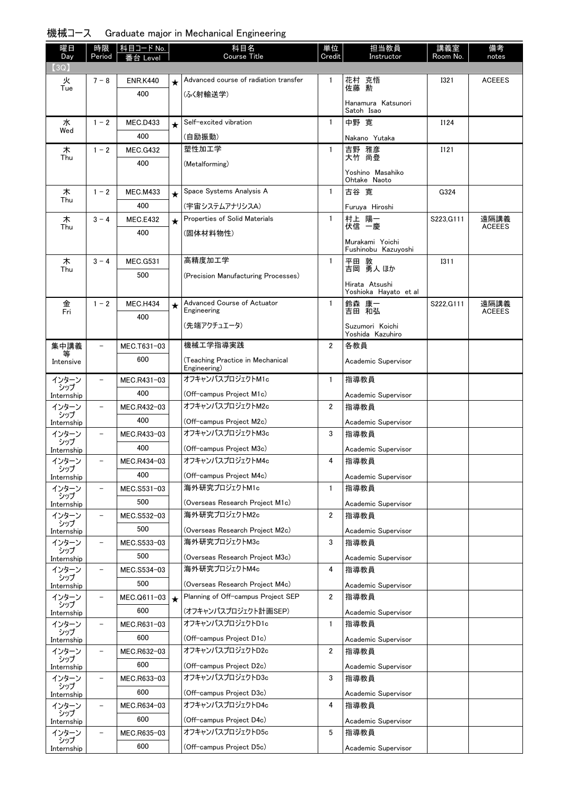| 曜日<br>Day           | 時限<br>Period             | 科目コード No.<br>番台 Level |         | 科目名<br>Course Title                              | 単位<br>Credit   | 担当教員<br>Instructor                      | 講義室<br>Room No. | 備考<br>notes   |
|---------------------|--------------------------|-----------------------|---------|--------------------------------------------------|----------------|-----------------------------------------|-----------------|---------------|
| (3Q)                |                          |                       |         |                                                  |                |                                         |                 |               |
| 火<br>Tue            | $7 - 8$                  | <b>ENR.K440</b>       | $\star$ | Advanced course of radiation transfer            | 1              | 花村 克悟<br>佐藤 勲                           | <b>I321</b>     | <b>ACEEES</b> |
|                     |                          | 400                   |         | (ふく射輸送学)                                         |                | Hanamura Katsunori                      |                 |               |
|                     |                          |                       |         |                                                  |                | Satoh Isao                              |                 |               |
| 水<br>Wed            | $1 - 2$                  | <b>MEC.D433</b>       | $\star$ | Self-excited vibration                           | $\mathbf{1}$   | 中野 寛                                    | I124            |               |
|                     |                          | 400                   |         | (自励振動)                                           |                | Nakano Yutaka                           |                 |               |
| 木<br>Thu            | $1 - 2$                  | <b>MEC.G432</b>       |         | 塑性加工学                                            | 1              | 吉野 雅彦<br>大竹 尚登                          | <b>I121</b>     |               |
|                     |                          | 400                   |         | (Metalforming)                                   |                |                                         |                 |               |
|                     |                          |                       |         |                                                  |                | Yoshino Masahiko<br>Ohtake Naoto        |                 |               |
| 木                   | $1 - 2$                  | <b>MEC.M433</b>       | $\star$ | Space Systems Analysis A                         | $\mathbf{1}$   | 古谷 寛                                    | G324            |               |
| Thu                 |                          | 400                   |         | (宇宙システムアナリシスA)                                   |                | Furuya Hiroshi                          |                 |               |
| 木                   | $3 - 4$                  | <b>MEC.E432</b>       | $\star$ | Properties of Solid Materials                    | $\mathbf{1}$   | 村上 陽一                                   | S223, G111      | 遠隔講義          |
| Thu                 |                          | 400                   |         | (固体材料物性)                                         |                | 伏信 一慶                                   |                 | <b>ACEEES</b> |
|                     |                          |                       |         |                                                  |                | Murakami Yoichi<br>Fushinobu Kazuyoshi  |                 |               |
| 木                   | $3 - 4$                  | <b>MEC.G531</b>       |         | 高精度加工学                                           | $\mathbf{1}$   | 平田 敦                                    | <b>I311</b>     |               |
| Thu                 |                          | 500                   |         | (Precision Manufacturing Processes)              |                | 吉岡 勇人 ほか                                |                 |               |
|                     |                          |                       |         |                                                  |                | Hirata Atsushi<br>Yoshioka Hayato et al |                 |               |
| 金                   | $1 - 2$                  | <b>MEC.H434</b>       | ★       | Advanced Course of Actuator                      | 1              | 鈴森 康一                                   | S222.G111       | 遠隔講義          |
| Fri                 |                          | 400                   |         | Engineering                                      |                | 吉田 和弘                                   |                 | <b>ACEEES</b> |
|                     |                          |                       |         | (先端アクチュエータ)                                      |                | Suzumori Koichi<br>Yoshida Kazuhiro     |                 |               |
| 集中講義                |                          | MEC.T631-03           |         | 機械工学指導実践                                         | $\overline{2}$ | 各教員                                     |                 |               |
| Intensive           |                          | 600                   |         | (Teaching Practice in Mechanical                 |                | Academic Supervisor                     |                 |               |
|                     |                          |                       |         | Engineering)<br>オフキャンパスプロジェクトM1c                 | $\mathbf{1}$   |                                         |                 |               |
| インターン<br>シップ        |                          | MEC.R431-03<br>400    |         |                                                  |                | 指導教員                                    |                 |               |
| Internship<br>インターン | $\qquad \qquad -$        |                       |         | (Off-campus Project M1c)<br>オフキャンパスプロジェクトM2c     | $\overline{2}$ | Academic Supervisor                     |                 |               |
| シップ                 |                          | MEC.R432-03           |         |                                                  |                | 指導教員                                    |                 |               |
| Internship          | $\qquad \qquad -$        | 400                   |         | (Off-campus Project M2c)<br>オフキャンパスプロジェクトM3c     | 3              | Academic Supervisor<br>指導教員             |                 |               |
| インターン<br>シップ        |                          | MEC.R433-03           |         |                                                  |                |                                         |                 |               |
| Internship<br>インターン |                          | 400                   |         | (Off-campus Project M3c)<br>オフキャンパスプロジェクトM4c     |                | Academic Supervisor                     |                 |               |
| シップ                 | $\qquad \qquad -$        | MEC.R434-03           |         |                                                  | 4              | 指導教員                                    |                 |               |
| Internship          |                          | 400                   |         | (Off-campus Project M4c)<br>海外研究プロジェクトM1c        |                | Academic Supervisor                     |                 |               |
| インターン<br>シップ        | $\overline{\phantom{0}}$ | MEC.S531-03           |         |                                                  | $\mathbf{1}$   | 指導教員                                    |                 |               |
| Internship          |                          | 500                   |         | (Overseas Research Project M1c)<br>海外研究プロジェクトM2c |                | Academic Supervisor                     |                 |               |
| インターン<br>シップ        |                          | MEC.S532-03           |         |                                                  | 2              | 指導教員                                    |                 |               |
| Internship          |                          | 500                   |         | (Overseas Research Project M2c)                  |                | Academic Supervisor                     |                 |               |
| インターン<br>シップ        |                          | MEC.S533-03           |         | 海外研究プロジェクトM3c                                    | 3              | 指導教員                                    |                 |               |
| Internship          |                          | 500                   |         | (Overseas Research Project M3c)                  |                | Academic Supervisor                     |                 |               |
| インターン<br>シップ        | $\overline{\phantom{a}}$ | MEC.S534-03           |         | 海外研究プロジェクトM4c                                    | 4              | 指導教員                                    |                 |               |
| Internship          |                          | 500                   |         | (Overseas Research Project M4c)                  |                | Academic Supervisor                     |                 |               |
| インターン<br>シップ        | $\qquad \qquad -$        | MEC.Q611-03           | $\star$ | Planning of Off-campus Project SEP               | 2              | 指導教員                                    |                 |               |
| Internship          |                          | 600                   |         | (オフキャンパスプロジェクト計画SEP)                             |                | Academic Supervisor                     |                 |               |
| インターン<br>シップ        | $\overline{\phantom{0}}$ | MEC.R631-03           |         | オフキャンパスプロジェクトD1c                                 | 1              | 指導教員                                    |                 |               |
| Internship          |                          | 600                   |         | (Off-campus Project D1c)                         |                | Academic Supervisor                     |                 |               |
| インターン<br>シップ        | $\qquad \qquad -$        | MEC.R632-03           |         | オフキャンパスプロジェクトD2c                                 | 2              | 指導教員                                    |                 |               |
| Internship          |                          | 600                   |         | (Off-campus Project D2c)                         |                | Academic Supervisor                     |                 |               |
| インターン<br>シップ        | $\qquad \qquad -$        | MEC.R633-03           |         | オフキャンパスプロジェクトD3c                                 | 3              | 指導教員                                    |                 |               |
| Internship          |                          | 600                   |         | (Off-campus Project D3c)                         |                | Academic Supervisor                     |                 |               |
| インターン<br>シップ        | $\overline{\phantom{a}}$ | MEC.R634-03           |         | オフキャンパスプロジェクトD4c                                 | 4              | 指導教員                                    |                 |               |
| Internship          |                          | 600                   |         | (Off-campus Project D4c)                         |                | Academic Supervisor                     |                 |               |
| インターン<br>シップ        | $\qquad \qquad -$        | MEC.R635-03           |         | オフキャンパスプロジェクトD5c                                 | 5              | 指導教員                                    |                 |               |
| Internship          |                          | 600                   |         | (Off-campus Project D5c)                         |                | Academic Supervisor                     |                 |               |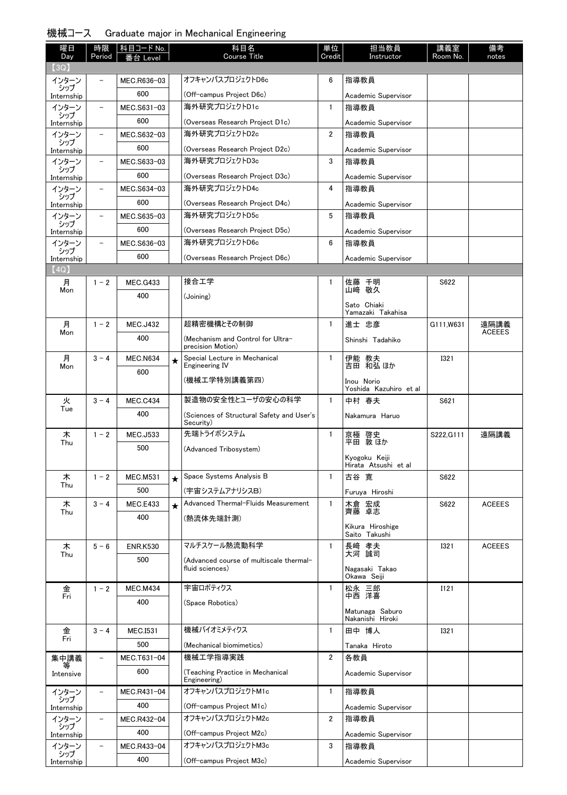|  | 機械コース Graduate major in Mechanical Engineering |  |
|--|------------------------------------------------|--|
|--|------------------------------------------------|--|

| 曜日                | 時限                       | 科目コード No.       |            | 科目名                                                    | 単位             | 担当教員                                  | 講義室         | 備考            |
|-------------------|--------------------------|-----------------|------------|--------------------------------------------------------|----------------|---------------------------------------|-------------|---------------|
| Day<br>(3Q)       | Period                   | 番台 Level        |            | <b>Course Title</b>                                    | Credit         | Instructor                            | Room No.    | notes         |
| インターン             |                          | MEC.R636-03     |            | オフキャンパスプロジェクトD6c                                       | 6              | 指導教員                                  |             |               |
| シップ<br>Internship |                          | 600             |            | (Off-campus Project D6c)                               |                | Academic Supervisor                   |             |               |
| インターン             |                          | MEC.S631-03     |            | 海外研究プロジェクトD1c                                          | 1              | 指導教員                                  |             |               |
| シップ<br>Internship |                          | 600             |            | (Overseas Research Project D1c)                        |                | Academic Supervisor                   |             |               |
| インターン             | $\overline{\phantom{a}}$ | MEC.S632-03     |            | 海外研究プロジェクトD2c                                          | $\overline{2}$ | 指導教員                                  |             |               |
| シップ<br>Internship |                          | 600             |            | (Overseas Research Project D2c)                        |                | Academic Supervisor                   |             |               |
| インターン             | $\overline{\phantom{a}}$ | MEC.S633-03     |            | 海外研究プロジェクトD3c                                          | 3              | 指導教員                                  |             |               |
| シップ<br>Internship |                          | 600             |            | (Overseas Research Project D3c)                        |                | Academic Supervisor                   |             |               |
| インターン             | -                        | MEC.S634-03     |            | 海外研究プロジェクトD4c                                          | 4              | 指導教員                                  |             |               |
| シップ<br>Internship |                          | 600             |            | (Overseas Research Project D4c)                        |                | Academic Supervisor                   |             |               |
| インターン             |                          | MEC.S635-03     |            | 海外研究プロジェクトD5c                                          | 5              | 指導教員                                  |             |               |
| シップ<br>Internship |                          | 600             |            | (Overseas Research Project D5c)                        |                | Academic Supervisor                   |             |               |
| インターン             |                          | MEC.S636-03     |            | 海外研究プロジェクトD6c                                          | 6              | 指導教員                                  |             |               |
| シップ<br>Internship |                          | 600             |            | (Overseas Research Project D6c)                        |                | Academic Supervisor                   |             |               |
| (4Q)              |                          |                 |            |                                                        |                |                                       |             |               |
| 月                 | $1 - 2$                  | <b>MEC.G433</b> |            | 接合工学                                                   | 1              | 佐藤 千明                                 | S622        |               |
| Mon               |                          | 400             |            | (Joining)                                              |                | 山崎 敬久                                 |             |               |
|                   |                          |                 |            |                                                        |                | Sato Chiaki<br>Yamazaki Takahisa      |             |               |
| 月                 | $1 - 2$                  | <b>MEC.J432</b> |            | 超精密機構とその制御                                             | 1              | 進士 忠彦                                 | G111, W631  | 遠隔講義          |
| Mon               |                          | 400             |            | (Mechanism and Control for Ultra-                      |                | Shinshi Tadahiko                      |             | <b>ACEEES</b> |
|                   |                          |                 |            | precision Motion)                                      |                |                                       |             |               |
| 月<br>Mon          | $3 - 4$                  | <b>MEC.N634</b> | $\bigstar$ | Special Lecture in Mechanical<br>Engineering IV        | 1              | 伊能 教夫<br>吉田 和弘 ほか                     | <b>I321</b> |               |
|                   |                          | 600             |            | (機械工学特別講義第四)                                           |                | Inou Norio                            |             |               |
|                   |                          |                 |            |                                                        |                | Yoshida Kazuhiro et al                |             |               |
| 火<br>Tue          | $3 - 4$                  | MEC.C434        |            | 製造物の安全性とユーザの安心の科学                                      | $\mathbf{1}$   | 中村 春夫                                 | S621        |               |
|                   |                          | 400             |            | (Sciences of Structural Safety and User's<br>Security) |                | Nakamura Haruo                        |             |               |
| 木                 | $1 - 2$                  | <b>MEC.J533</b> |            | 先端トライボシステム                                             | 1              | 京極 啓史<br>平田 敦ほか                       | S222, G111  | 遠隔講義          |
| Thu               |                          | 500             |            | (Advanced Tribosystem)                                 |                |                                       |             |               |
|                   |                          |                 |            |                                                        |                | Kyogoku Keiji<br>Hirata Atsushi et al |             |               |
| 木                 | $1 - 2$                  | <b>MEC.M531</b> | $\star$    | Space Systems Analysis B                               | $\mathbf{1}$   | 古谷 寛                                  | S622        |               |
| Thu               |                          | 500             |            | (宇宙システムアナリシスB)                                         |                | Furuya Hiroshi                        |             |               |
| 木                 | $3 - 4$                  | MEC.E433        | $\star$    | Advanced Thermal-Fluids Measurement                    | $\mathbf{1}$   | 木倉 宏成                                 | S622        | <b>ACEEES</b> |
| Thu               |                          | 400             |            | (熱流体先端計測)                                              |                | 齊藤 卓志                                 |             |               |
|                   |                          |                 |            |                                                        |                | Kikura Hiroshige<br>Saito Takushi     |             |               |
| 木                 | $5 - 6$                  | <b>ENR.K530</b> |            | マルチスケール熱流動科学                                           | 1              | 長崎 孝夫                                 | <b>I321</b> | <b>ACEEES</b> |
| Thu               |                          | 500             |            | (Advanced course of multiscale thermal-                |                | 大河 誠司                                 |             |               |
|                   |                          |                 |            | fluid sciences)                                        |                | Nagasaki Takao                        |             |               |
| 金                 | $1 - 2$                  | <b>MEC.M434</b> |            | 宇宙ロボティクス                                               | 1              | Okawa Seiji<br>松永 三郎                  | I121        |               |
| Fri               |                          | 400             |            | (Space Robotics)                                       |                | 中西 洋喜                                 |             |               |
|                   |                          |                 |            |                                                        |                | Matunaga Saburo                       |             |               |
| 金                 | $3 - 4$                  | <b>MEC.I531</b> |            | 機械バイオミメティクス                                            | 1              | Nakanishi Hiroki<br>田中 博人             | <b>I321</b> |               |
| Fri               |                          | 500             |            | (Mechanical biomimetics)                               |                |                                       |             |               |
| 集中講義              |                          | MEC.T631-04     |            | 機械工学指導実践                                               | $\overline{2}$ | Tanaka Hiroto<br>各教員                  |             |               |
|                   |                          | 600             |            | (Teaching Practice in Mechanical                       |                |                                       |             |               |
| Intensive         |                          |                 |            | Engineering)                                           |                | Academic Supervisor                   |             |               |
| インターン<br>シップ      |                          | MEC.R431-04     |            | オフキャンパスプロジェクトM1c                                       | $\mathbf{1}$   | 指導教員                                  |             |               |
| Internship        |                          | 400             |            | (Off-campus Project M1c)                               |                | Academic Supervisor                   |             |               |
| インターン<br>シップ      | -                        | MEC.R432-04     |            | オフキャンパスプロジェクトM2c                                       | $\overline{2}$ | 指導教員                                  |             |               |
| Internship        |                          | 400             |            | (Off-campus Project M2c)                               |                | Academic Supervisor                   |             |               |
| インターン<br>シップ      | $\overline{\phantom{0}}$ | MEC.R433-04     |            | オフキャンパスプロジェクトM3c                                       | 3              | 指導教員                                  |             |               |
| Internship        |                          | 400             |            | (Off-campus Project M3c)                               |                | Academic Supervisor                   |             |               |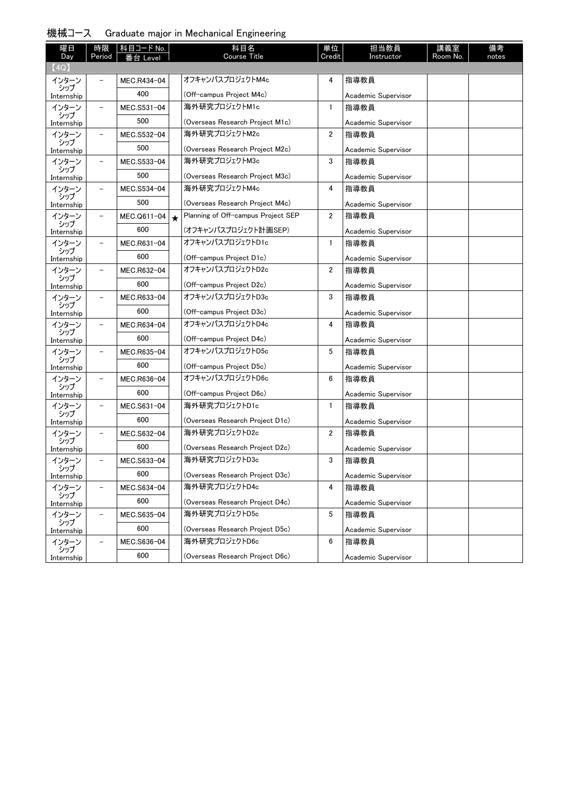|  | 機械コース | . Graduate major in Mechanical Engineering |  |  |  |  |  |
|--|-------|--------------------------------------------|--|--|--|--|--|
|--|-------|--------------------------------------------|--|--|--|--|--|

| 曜日                  |                          | 時限 科目コード No. | 科目名                                           | 単位             | 担当教員                        | 講義室      | 備考    |
|---------------------|--------------------------|--------------|-----------------------------------------------|----------------|-----------------------------|----------|-------|
| Day<br>(4Q)         | Period                   | 番台 Level     | Course Title                                  | Credit         | Instructor                  | Room No. | notes |
| インターン               |                          | MEC.R434-04  | オフキャンパスプロジェクトM4c                              | 4              | 指導教員                        |          |       |
| シップ                 |                          | 400          |                                               |                |                             |          |       |
| Internship          |                          |              | (Off-campus Project M4c)<br>海外研究プロジェクトM1c     |                | Academic Supervisor         |          |       |
| インターン<br>シップ        | $\overline{\phantom{0}}$ | MEC.S531-04  |                                               | 1              | 指導教員                        |          |       |
| Internship          |                          | 500          | (Overseas Research Project M1c)               |                | Academic Supervisor         |          |       |
| インターン<br>シップ        | $\overline{\phantom{0}}$ | MEC.S532-04  | 海外研究プロジェクトM2c                                 | $\overline{2}$ | 指導教員                        |          |       |
| Internship          |                          | 500          | (Overseas Research Project M2c)               |                | Academic Supervisor         |          |       |
| インターン<br>シップ        | $\overline{\phantom{0}}$ | MEC.S533-04  | 海外研究プロジェクトM3c                                 | 3              | 指導教員                        |          |       |
| Internship          |                          | 500          | (Overseas Research Project M3c)               |                | Academic Supervisor         |          |       |
| インターン               | $\overline{\phantom{a}}$ | MEC.S534-04  | 海外研究プロジェクトM4c                                 | 4              | 指導教員                        |          |       |
| シップ<br>Internship   |                          | 500          | (Overseas Research Project M4c)               |                | Academic Supervisor         |          |       |
| インターン               | -                        | MEC.Q611-04  | Planning of Off-campus Project SEP<br>$\star$ | 2              | 指導教員                        |          |       |
| シップ<br>Internship   |                          | 600          | (オフキャンパスプロジェクト計画SEP)                          |                | Academic Supervisor         |          |       |
| インターン               | $\overline{\phantom{0}}$ | MEC.R631-04  | オフキャンパスプロジェクトD1c                              | $\mathbf{1}$   | 指導教員                        |          |       |
| シップ<br>Internship   |                          | 600          | (Off-campus Project D1c)                      |                | Academic Supervisor         |          |       |
| インターン               | -                        | MEC.R632-04  | オフキャンパスプロジェクトD2c                              | $\overline{2}$ | 指導教員                        |          |       |
| シップ<br>Internship   |                          | 600          | (Off-campus Project D2c)                      |                | Academic Supervisor         |          |       |
| インターン               | $\overline{\phantom{0}}$ | MEC.R633-04  | オフキャンパスプロジェクトD3c                              | 3              | 指導教員                        |          |       |
| シップ                 |                          | 600          | (Off-campus Project D3c)                      |                | Academic Supervisor         |          |       |
| Internship<br>インターン | $\overline{\phantom{0}}$ | MEC.R634-04  | オフキャンパスプロジェクトD4c                              | 4              | 指導教員                        |          |       |
| シップ                 |                          | 600          | (Off-campus Project D4c)                      |                |                             |          |       |
| Internship<br>インターン | $\overline{\phantom{0}}$ | MEC.R635-04  | オフキャンパスプロジェクトD5c                              | 5              | Academic Supervisor<br>指導教員 |          |       |
| シップ                 |                          | 600          |                                               |                |                             |          |       |
| Internship          |                          |              | (Off-campus Project D5c)                      |                | Academic Supervisor         |          |       |
| インターン<br>シップ        | $\qquad \qquad -$        | MEC.R636-04  | オフキャンパスプロジェクトD6c                              | 6              | 指導教員                        |          |       |
| Internship          |                          | 600          | (Off-campus Project D6c)                      |                | Academic Supervisor         |          |       |
| インターン<br>シップ        |                          | MEC.S631-04  | 海外研究プロジェクトD1c                                 | $\mathbf{1}$   | 指導教員                        |          |       |
| Internship          |                          | 600          | (Overseas Research Project D1c)               |                | Academic Supervisor         |          |       |
| インターン<br>シップ        | $\overline{\phantom{a}}$ | MEC.S632-04  | 海外研究プロジェクトD2c                                 | $\mathbf{2}$   | 指導教員                        |          |       |
| Internship          |                          | 600          | (Overseas Research Project D2c)               |                | Academic Supervisor         |          |       |
| インターン               |                          | MEC.S633-04  | 海外研究プロジェクトD3c                                 | 3              | 指導教員                        |          |       |
| シップ<br>Internship   |                          | 600          | (Overseas Research Proiect D3c)               |                | Academic Supervisor         |          |       |
| インターン               | $\overline{\phantom{0}}$ | MEC.S634-04  | 海外研究プロジェクトD4c                                 | 4              | 指導教員                        |          |       |
| シップ<br>Internship   |                          | 600          | (Overseas Research Project D4c)               |                | Academic Supervisor         |          |       |
| インターン               |                          | MEC.S635-04  | 海外研究プロジェクトD5c                                 | 5              | 指導教員                        |          |       |
| シップ<br>Internship   |                          | 600          | (Overseas Research Project D5c)               |                | Academic Supervisor         |          |       |
| インターン               |                          |              |                                               |                |                             |          |       |
|                     |                          | MEC.S636-04  | 海外研究プロジェクトD6c                                 | 6              | 指導教員                        |          |       |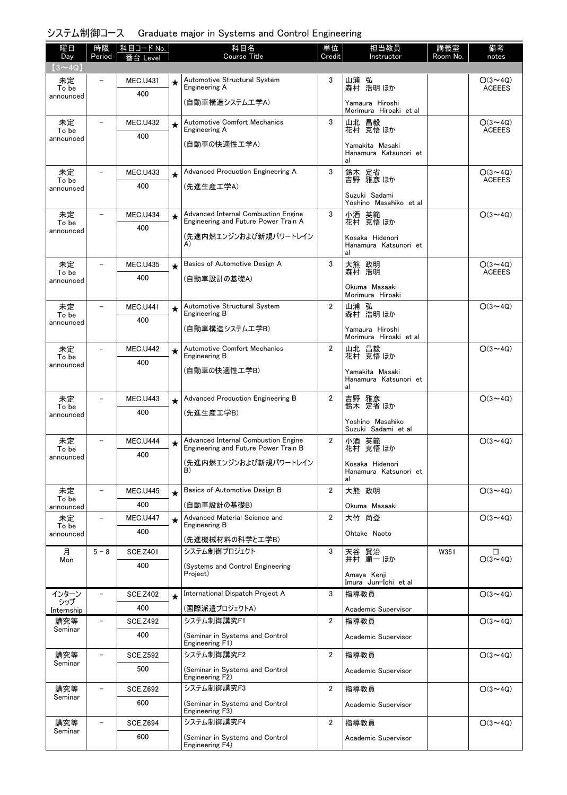| 曜日<br>Day          | 時限<br>Period             | │ 科目コード No.<br>番台 Level |         | 科目名<br><b>Course Title</b>                                                  | 単位<br>Credit   | 担当教員<br>Instructor                             | 講義室<br>Room No. | 備考<br>notes                     |
|--------------------|--------------------------|-------------------------|---------|-----------------------------------------------------------------------------|----------------|------------------------------------------------|-----------------|---------------------------------|
| $(3 \sim 4Q)$      |                          |                         |         |                                                                             |                |                                                |                 |                                 |
| 未定<br>To be        |                          | <b>MEC.U431</b>         | $\star$ | Automotive Structural System<br>Engineering A                               | 3              | 山浦 弘<br>森村 浩明ほか                                |                 | $O(3 \sim 4Q)$<br><b>ACEEES</b> |
| announced          |                          | 400                     |         | (自動車構造システムエ学A)                                                              |                | Yamaura Hiroshi                                |                 |                                 |
| 未定                 | $\overline{\phantom{m}}$ | <b>MEC.U432</b>         |         | Automotive Comfort Mechanics                                                | 3              | Morimura Hiroaki et al<br>山北 昌毅                |                 | $O(3 \sim 4Q)$                  |
| To be              |                          | 400                     | $\star$ | Engineering A                                                               |                | 花村 克悟 ほか                                       |                 | <b>ACEEES</b>                   |
| announced          |                          |                         |         | (自動車の快適性工学A)                                                                |                | Yamakita Masaki<br>Hanamura Katsunori et<br>al |                 |                                 |
| 未定                 | $\qquad \qquad -$        | <b>MEC.U433</b>         | $\star$ | Advanced Production Engineering A                                           | 3              | 鈴木 定省<br>吉野 雅彦ほか                               |                 | $O(3 \sim 4Q)$                  |
| To be<br>announced |                          | 400                     |         | (先進生産工学A)                                                                   |                |                                                |                 | <b>ACEEES</b>                   |
|                    |                          |                         |         |                                                                             |                | Suzuki Sadami<br>Yoshino Masahiko et al        |                 |                                 |
| 未定<br>To be        |                          | <b>MEC.U434</b>         | $\star$ | Advanced Internal Combustion Engine<br>Engineering and Future Power Train A | 3              | 小酒 英範<br>花村 克悟 ほか                              |                 | $O(3 \sim 4Q)$                  |
| announced          |                          | 400                     |         | (先進内燃エンジンおよび新規パワートレイン                                                       |                |                                                |                 |                                 |
|                    |                          |                         |         | A)                                                                          |                | Kosaka Hidenori<br>Hanamura Katsunori et<br>al |                 |                                 |
| 未定                 | $\overline{\phantom{0}}$ | <b>MEC.U435</b>         | $\star$ | Basics of Automotive Design A                                               | 3              | 大熊 政明<br>森村 浩明                                 |                 | $O(3 \sim 4Q)$<br><b>ACEEES</b> |
| To be<br>announced |                          | 400                     |         | (自動車設計の基礎A)                                                                 |                |                                                |                 |                                 |
|                    |                          |                         |         |                                                                             |                | Okuma Masaaki<br>Morimura Hiroaki              |                 |                                 |
| 未定<br>To be        |                          | <b>MEC.U441</b>         | $\star$ | Automotive Structural System<br>Engineering B                               | $\overline{2}$ | 山浦 弘<br>森村 浩明ほか                                |                 | $O(3 \sim 4Q)$                  |
| announced          |                          | 400                     |         | (自動車構造システムエ学B)                                                              |                | Yamaura Hiroshi                                |                 |                                 |
|                    |                          |                         |         |                                                                             |                | Morimura Hiroaki et al                         |                 |                                 |
| 未定<br>To be        |                          | <b>MEC.U442</b>         | $\star$ | <b>Automotive Comfort Mechanics</b><br>Engineering B                        | $\overline{2}$ | 山北 昌毅<br>花村 克悟ほか                               |                 | $O(3 \sim 4Q)$                  |
| announced          |                          | 400                     |         | (自動車の快適性工学B)                                                                |                | Yamakita Masaki                                |                 |                                 |
|                    |                          |                         |         |                                                                             |                | Hanamura Katsunori et<br>al                    |                 |                                 |
| 未定<br>To be        |                          | <b>MEC.U443</b>         | $\star$ | Advanced Production Engineering B                                           | $\overline{2}$ | 吉野 雅彦<br>鈴木 定省 ほか                              |                 | $O(3 \sim 4Q)$                  |
| announced          |                          | 400                     |         | (先進生産工学B)                                                                   |                | Yoshino Masahiko                               |                 |                                 |
|                    |                          |                         |         |                                                                             |                | Suzuki Sadami et al                            |                 |                                 |
| 未定<br>To be        |                          | <b>MEC.U444</b>         | $\star$ | Advanced Internal Combustion Engine<br>Engineering and Future Power Train B | $\overline{2}$ | 小酒 英範<br>花村 克悟 ほか                              |                 | $O(3 \sim 4Q)$                  |
| announced          |                          | 400                     |         | (先進内燃エンジンおよび新規パワートレイン                                                       |                | Kosaka Hidenori                                |                 |                                 |
|                    |                          |                         |         | B)                                                                          |                | Hanamura Katsunori et<br>al                    |                 |                                 |
| 未定                 | $\overline{\phantom{a}}$ | <b>MEC.U445</b>         | $\star$ | Basics of Automotive Design B                                               | $\overline{2}$ | 大熊 政明                                          |                 | $O(3 \sim 4Q)$                  |
| To be<br>announced |                          | 400                     |         | (自動車設計の基礎B)                                                                 |                | Okuma Masaaki                                  |                 |                                 |
| 未定                 | $\qquad \qquad -$        | <b>MEC.U447</b>         | $\star$ | Advanced Material Science and<br>Engineering B                              | $\overline{2}$ | 大竹 尚登                                          |                 | $O(3 \sim 4Q)$                  |
| To be<br>announced |                          | 400                     |         |                                                                             |                | Ohtake Naoto                                   |                 |                                 |
| 月                  | $5 - 8$                  | <b>SCE.Z401</b>         |         | (先進機械材料の科学と工学B)<br>システム制御プロジェクト                                             | 3              | 天谷 賢治                                          | W351            | □                               |
| Mon                |                          | 400                     |         | (Systems and Control Engineering                                            |                | 井村 順一 ほか                                       |                 | $O(3 \sim 4Q)$                  |
|                    |                          |                         |         | Project)                                                                    |                | Amaya Kenji<br>Imura Jun-Ichi et al            |                 |                                 |
| インターン              | $\overline{\phantom{0}}$ | <b>SCE.Z402</b>         | $\star$ | International Dispatch Project A                                            | 3              | 指導教員                                           |                 | $O(3 \sim 4Q)$                  |
| シップ<br>Internship  |                          | 400                     |         | (国際派遣プロジェクトA)                                                               |                | Academic Supervisor                            |                 |                                 |
| 講究等                | $\overline{\phantom{0}}$ | <b>SCE.Z492</b>         |         | システム制御講究F1                                                                  | $\overline{2}$ | 指導教員                                           |                 | $O(3 \sim 4Q)$                  |
| Seminar            |                          | 400                     |         | (Seminar in Systems and Control<br>Engineering F1)                          |                | Academic Supervisor                            |                 |                                 |
| 講究等                | $\overline{\phantom{0}}$ | <b>SCE.Z592</b>         |         | システム制御講究F2                                                                  | $\overline{2}$ | 指導教員                                           |                 | $O(3 \sim 4Q)$                  |
| Seminar            |                          | 500                     |         | (Seminar in Systems and Control<br>Engineering F2)                          |                | Academic Supervisor                            |                 |                                 |
| 講究等                | $\qquad \qquad -$        | <b>SCE.Z692</b>         |         | システム制御講究F3                                                                  | $\overline{2}$ | 指導教員                                           |                 | $O(3 \sim 4Q)$                  |
| Seminar            |                          | 600                     |         | (Seminar in Systems and Control<br>Engineering F3)                          |                | Academic Supervisor                            |                 |                                 |
| 講究等                | $\qquad \qquad -$        | <b>SCE.Z694</b>         |         | システム制御講究F4                                                                  | 2              | 指導教員                                           |                 | $O(3 \sim 4Q)$                  |
| Seminar            |                          | 600                     |         | (Seminar in Systems and Control<br>Engineering F4)                          |                | Academic Supervisor                            |                 |                                 |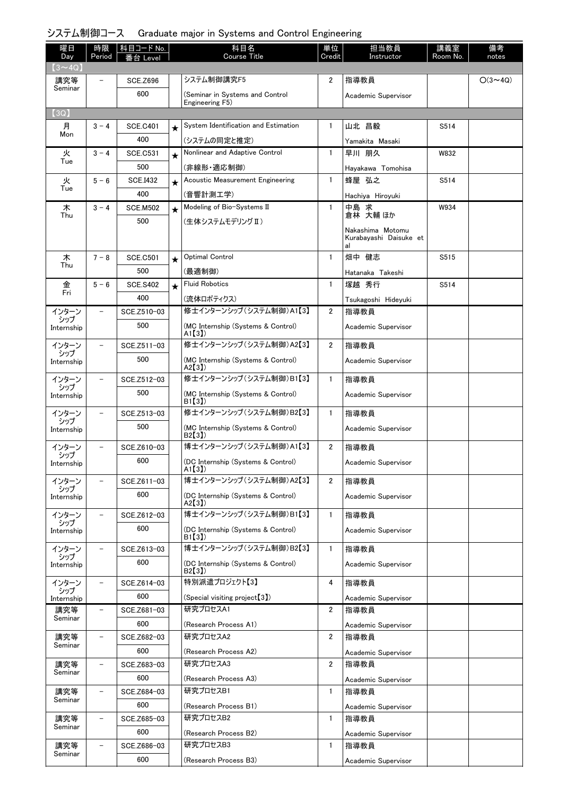| 曜日<br>Day         | 時限<br>Period             | │科目コード No.<br>番台 Level |         | 科目名<br><b>Course Title</b>                  | 単位<br>Credit   | 担当教員<br>Instructor           | 講義室<br>Room No. | 備考<br>notes    |
|-------------------|--------------------------|------------------------|---------|---------------------------------------------|----------------|------------------------------|-----------------|----------------|
| $(3 - 4Q)$        |                          |                        |         |                                             |                |                              |                 |                |
| 講究等               | $\overline{\phantom{0}}$ | <b>SCE.Z696</b>        |         | システム制御講究F5                                  | $\overline{2}$ | 指導教員                         |                 | $O(3 \sim 4Q)$ |
| Seminar           |                          | 600                    |         | (Seminar in Systems and Control             |                | Academic Supervisor          |                 |                |
|                   |                          |                        |         | Engineering F5)                             |                |                              |                 |                |
| (3Q)<br>月         | $3 - 4$                  | <b>SCE.C401</b>        |         | System Identification and Estimation        | $\mathbf{1}$   | 山北 昌毅                        | S514            |                |
| Mon               |                          | 400                    | $\star$ | (システムの同定と推定)                                |                |                              |                 |                |
| 火                 | $3 - 4$                  | <b>SCE.C531</b>        |         | Nonlinear and Adaptive Control              | $\mathbf{1}$   | Yamakita Masaki<br>早川 朋久     | W832            |                |
| Tue               |                          | 500                    | $\star$ | (非線形・適応制御)                                  |                |                              |                 |                |
| 火                 | $5 - 6$                  | <b>SCE.I432</b>        |         | Acoustic Measurement Engineering            | 1              | Hayakawa Tomohisa<br>蜂屋 弘之   | S514            |                |
| Tue               |                          | 400                    | $\star$ | (音響計測工学)                                    |                |                              |                 |                |
| 木                 | $3 - 4$                  | <b>SCE.M502</b>        |         | Modeling of Bio-Systems II                  | 1              | Hachiya Hiroyuki<br>中島 求     | W934            |                |
| Thu               |                          | 500                    | $\star$ | (生体システムモデリング Ⅱ)                             |                | 倉林 大輔 ほか                     |                 |                |
|                   |                          |                        |         |                                             |                | Nakashima Motomu             |                 |                |
|                   |                          |                        |         |                                             |                | Kurabayashi Daisuke et<br>al |                 |                |
| 木                 | $7 - 8$                  | <b>SCE.C501</b>        | $\star$ | Optimal Control                             | $\mathbf{1}$   | 畑中 健志                        | S515            |                |
| Thu               |                          | 500                    |         | (最適制御)                                      |                | Hatanaka Takeshi             |                 |                |
| 金                 | $5 - 6$                  | <b>SCE.S402</b>        | $\star$ | <b>Fluid Robotics</b>                       | $\mathbf{1}$   | 塚越 秀行                        | S514            |                |
| Fri               |                          | 400                    |         | (流体ロボティクス)                                  |                | Tsukagoshi Hideyuki          |                 |                |
| インターン             | $\qquad \qquad -$        | SCE.Z510-03            |         | 修士インターンシップ (システム制御)A1【3】                    | $\overline{2}$ | 指導教員                         |                 |                |
| シップ<br>Internship |                          | 500                    |         | (MC Internship (Systems & Control)          |                | Academic Supervisor          |                 |                |
| インターン             | $\qquad \qquad -$        | SCE.Z511-03            |         | A1[3]<br>修士インターンシップ (システム制御)A2【3】           | $\overline{2}$ | 指導教員                         |                 |                |
| シップ               |                          | 500                    |         | (MC Internship (Systems & Control)          |                | Academic Supervisor          |                 |                |
| Internship        |                          |                        |         | A2[3]                                       |                |                              |                 |                |
| インターン<br>シップ      | $\qquad \qquad -$        | SCE.Z512-03            |         | 修士インターンシップ (システム制御)B1【3】                    | $\mathbf{1}$   | 指導教員                         |                 |                |
| Internship        |                          | 500                    |         | (MC Internship (Systems & Control)<br>B1(3) |                | Academic Supervisor          |                 |                |
| インターン             | $\overline{\phantom{0}}$ | SCE.Z513-03            |         | 修士インターンシップ (システム制御)B2【3】                    | $\mathbf{1}$   | 指導教員                         |                 |                |
| シップ<br>Internship |                          | 500                    |         | (MC Internship (Systems & Control)          |                | Academic Supervisor          |                 |                |
|                   | $\overline{\phantom{0}}$ |                        |         | B2(3)<br>博士インターンシップ (システム制御)A1【3】           |                |                              |                 |                |
| インターン<br>シップ      |                          | SCE.Z610-03            |         |                                             | 2              | 指導教員                         |                 |                |
| Internship        |                          | 600                    |         | (DC Internship (Systems & Control)<br>A1[3] |                | Academic Supervisor          |                 |                |
| インターン             | $\overline{\phantom{0}}$ | SCE.Z611-03            |         | 博士インターンシップ (システム制御)A2【3】                    | $\overline{2}$ | 指導教員                         |                 |                |
| シップ<br>Internship |                          | 600                    |         | (DC Internship (Systems & Control)          |                | Academic Supervisor          |                 |                |
| インターン             | $\qquad \qquad -$        | SCE.Z612-03            |         | A2[3]<br>博士インターンシップ(システム制御)B1【3】            | $\mathbf{1}$   | 指導教員                         |                 |                |
| シップ               |                          | 600                    |         | (DC Internship (Systems & Control)          |                | Academic Supervisor          |                 |                |
| Internship        |                          |                        |         | B1(3)                                       |                |                              |                 |                |
| インターン<br>シップ      | $\overline{\phantom{m}}$ | SCE.Z613-03            |         | 博士インターンシップ(システム制御)B2【3】                     | $\mathbf{1}$   | 指導教員                         |                 |                |
| Internship        |                          | 600                    |         | (DC Internship (Systems & Control)<br>B2[3] |                | Academic Supervisor          |                 |                |
| インターン             | $\qquad \qquad -$        | SCE.Z614-03            |         | 特別派遣プロジェクト【3】                               | 4              | 指導教員                         |                 |                |
| シップ<br>Internship |                          | 600                    |         | (Special visiting project <sup>[3]</sup> )  |                | Academic Supervisor          |                 |                |
| 講究等               | $\qquad \qquad -$        | SCE.Z681-03            |         | 研究プロセスA1                                    | $\overline{2}$ | 指導教員                         |                 |                |
| Seminar           |                          | 600                    |         | (Research Process A1)                       |                | Academic Supervisor          |                 |                |
| 講究等               | $\overline{\phantom{0}}$ | SCE.Z682-03            |         | 研究プロセスA2                                    | $\overline{2}$ | 指導教員                         |                 |                |
| Seminar           |                          | 600                    |         | (Research Process A2)                       |                | Academic Supervisor          |                 |                |
| 講究等               | $\overline{\phantom{0}}$ | SCE.Z683-03            |         | 研究プロセスA3                                    | $\overline{2}$ | 指導教員                         |                 |                |
| Seminar           |                          | 600                    |         | (Research Process A3)                       |                | Academic Supervisor          |                 |                |
| 講究等               | $\qquad \qquad -$        | SCE.Z684-03            |         | 研究プロセスB1                                    | $\mathbf{1}$   | 指導教員                         |                 |                |
| Seminar           |                          | 600                    |         | (Research Process B1)                       |                | Academic Supervisor          |                 |                |
| 講究等               | $\qquad \qquad -$        | SCE.Z685-03            |         | 研究プロセスB2                                    | $\mathbf{1}$   | 指導教員                         |                 |                |
| Seminar           |                          | 600                    |         | (Research Process B2)                       |                | Academic Supervisor          |                 |                |
| 講究等               | $\qquad \qquad -$        | SCE.Z686-03            |         | 研究プロセスB3                                    | 1              | 指導教員                         |                 |                |
| Seminar           |                          | 600                    |         | (Research Process B3)                       |                | Academic Supervisor          |                 |                |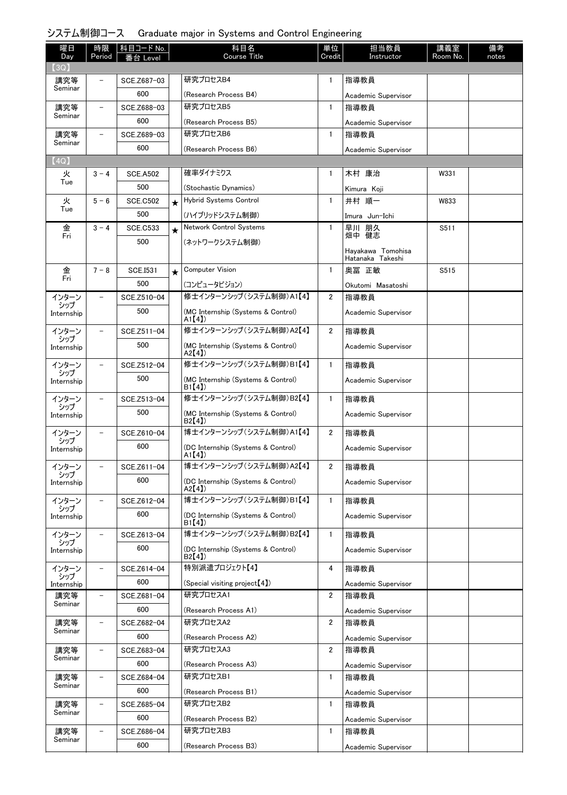| 曜日                | 時限                       | 科目コード No.          |         | 科目名                                         | 単位             | 担当教員                        | 講義室      | 備考    |
|-------------------|--------------------------|--------------------|---------|---------------------------------------------|----------------|-----------------------------|----------|-------|
| Day<br>(3Q)       | Period                   | i台 Level           |         | <b>Course Title</b>                         | Credit         | Instructor                  | Room No. | notes |
| 講究等               |                          | SCE.Z687-03        |         | 研究プロセスB4                                    | $\mathbf{1}$   | 指導教員                        |          |       |
| Seminar           |                          | 600                |         | (Research Process B4)                       |                | Academic Supervisor         |          |       |
| 講究等               |                          | SCE.Z688-03        |         | 研究プロセスB5                                    | $\mathbf{1}$   | 指導教員                        |          |       |
| Seminar           |                          | 600                |         | (Research Process B5)                       |                | Academic Supervisor         |          |       |
| 講究等               | $\qquad \qquad -$        | SCE.Z689-03        |         | 研究プロセスB6                                    | $\mathbf{1}$   | 指導教員                        |          |       |
| Seminar           |                          | 600                |         | (Research Process B6)                       |                | Academic Supervisor         |          |       |
| (4Q)              |                          |                    |         |                                             |                |                             |          |       |
| 火<br>Tue          | $3 - 4$                  | <b>SCE.A502</b>    |         | 確率ダイナミクス                                    | 1              | 木村 康治                       | W331     |       |
|                   |                          | 500                |         | (Stochastic Dynamics)                       |                | Kimura Koji                 |          |       |
| 火<br>Tue          | $5 - 6$                  | <b>SCE.C502</b>    | $\star$ | <b>Hybrid Systems Control</b>               | 1              | 井村 順一                       | W833     |       |
|                   |                          | 500                |         | (ハイブリッドシステム制御)                              |                | Imura Jun-Ichi              |          |       |
| 金<br>Fri          | $3 - 4$                  | <b>SCE.C533</b>    | $\star$ | <b>Network Control Systems</b>              | $\mathbf{1}$   | 早川 朋久<br>畑中 健志              | S511     |       |
|                   |                          | 500                |         | (ネットワークシステム制御)                              |                | Hayakawa Tomohisa           |          |       |
|                   |                          |                    |         |                                             |                | Hatanaka Takeshi            |          |       |
| 金<br>Fri          | $7 - 8$                  | <b>SCE.I531</b>    | $\star$ | <b>Computer Vision</b>                      | $\mathbf{1}$   | 奥冨 正敏                       | S515     |       |
|                   |                          | 500                |         | (コンピュータビジョン)                                |                | Okutomi Masatoshi           |          |       |
| インターン<br>シップ      |                          | SCE.Z510-04        |         | 修士インターンシップ (システム制御)A1【4】                    | $\overline{2}$ | 指導教員                        |          |       |
| Internship        |                          | 500                |         | (MC Internship (Systems & Control)<br>A1[4] |                | Academic Supervisor         |          |       |
| インターン             |                          | SCE.Z511-04        |         | 修士インターンシップ (システム制御)A2【4】                    | $\overline{2}$ | 指導教員                        |          |       |
| シップ<br>Internship |                          | 500                |         | (MC Internship (Systems & Control)          |                | Academic Supervisor         |          |       |
|                   |                          |                    |         | A2[4]<br>修士インターンシップ (システム制御)B1【4】           |                |                             |          |       |
| インターン<br>シップ      |                          | SCE.Z512-04<br>500 |         |                                             | $\mathbf{1}$   | 指導教員                        |          |       |
| Internship        |                          |                    |         | (MC Internship (Systems & Control)<br>B1(4) |                | Academic Supervisor         |          |       |
| インターン<br>シップ      |                          | SCE.Z513-04        |         | 修士インターンシップ (システム制御)B2【4】                    | $\mathbf{1}$   | 指導教員                        |          |       |
| Internship        |                          | 500                |         | (MC Internship (Systems & Control)<br>B2[4] |                | Academic Supervisor         |          |       |
| インターン             |                          | SCE.Z610-04        |         | 博士インターンシップ (システム制御)A1【4】                    | $\overline{2}$ | 指導教員                        |          |       |
| シップ<br>Internship |                          | 600                |         | (DC Internship (Systems & Control)          |                | Academic Supervisor         |          |       |
|                   |                          |                    |         | A1[4]                                       |                |                             |          |       |
| インターン<br>シップ      | $\overline{\phantom{0}}$ | SCE.Z611-04        |         | 博士インターンシップ (システム制御)A2【4】                    | 2              | 指導教員                        |          |       |
| Internship        |                          | 600                |         | (DC Internship (Systems & Control)<br>A2[4] |                | Academic Supervisor         |          |       |
| インターン             |                          | SCE.Z612-04        |         | 博士インターンシップ(システム制御)B1【4】                     | $\mathbf{1}$   | 指導教員                        |          |       |
| シップ<br>Internship |                          | 600                |         | (DC Internship (Systems & Control)          |                | Academic Supervisor         |          |       |
| インターン             |                          | SCE.Z613-04        |         | B1(4)<br>博士インターンシップ(システム制御)B2【4】            | $\mathbf{1}$   | 指導教員                        |          |       |
| シップ<br>Internship |                          | 600                |         | (DC Internship (Systems & Control)          |                | Academic Supervisor         |          |       |
|                   |                          |                    |         | B2[4]                                       |                |                             |          |       |
| インターン<br>シップ      | -                        | SCE.Z614-04        |         | 特別派遣プロジェクト【4】                               | 4              | 指導教員                        |          |       |
| Internship        |                          | 600                |         | (Special visiting project $[4]$ )           |                | Academic Supervisor         |          |       |
| 講究等<br>Seminar    | -                        | SCE.Z681-04        |         | 研究プロセスA1                                    | $\overline{2}$ | 指導教員                        |          |       |
|                   |                          | 600                |         | (Research Process A1)<br>研究プロセスA2           |                | Academic Supervisor         |          |       |
| 講究等<br>Seminar    | $\overline{\phantom{0}}$ | SCE.Z682-04<br>600 |         |                                             | $\overline{2}$ | 指導教員                        |          |       |
|                   | $\overline{\phantom{0}}$ | SCE.Z683-04        |         | (Research Process A2)<br>研究プロセスA3           | $\overline{2}$ | Academic Supervisor<br>指導教員 |          |       |
| 講究等<br>Seminar    |                          | 600                |         | (Research Process A3)                       |                |                             |          |       |
| 講究等               | $\qquad \qquad -$        | SCE.Z684-04        |         | 研究プロセスB1                                    | $\mathbf{1}$   | Academic Supervisor<br>指導教員 |          |       |
| Seminar           |                          | 600                |         | (Research Process B1)                       |                | Academic Supervisor         |          |       |
| 講究等               | $\overline{\phantom{0}}$ | SCE.Z685-04        |         | 研究プロセスB2                                    | $\mathbf{1}$   | 指導教員                        |          |       |
| Seminar           |                          | 600                |         | (Research Process B2)                       |                | Academic Supervisor         |          |       |
| 講究等               |                          | SCE.Z686-04        |         | 研究プロセスB3                                    | 1              | 指導教員                        |          |       |
| Seminar           |                          | 600                |         | (Research Process B3)                       |                | Academic Supervisor         |          |       |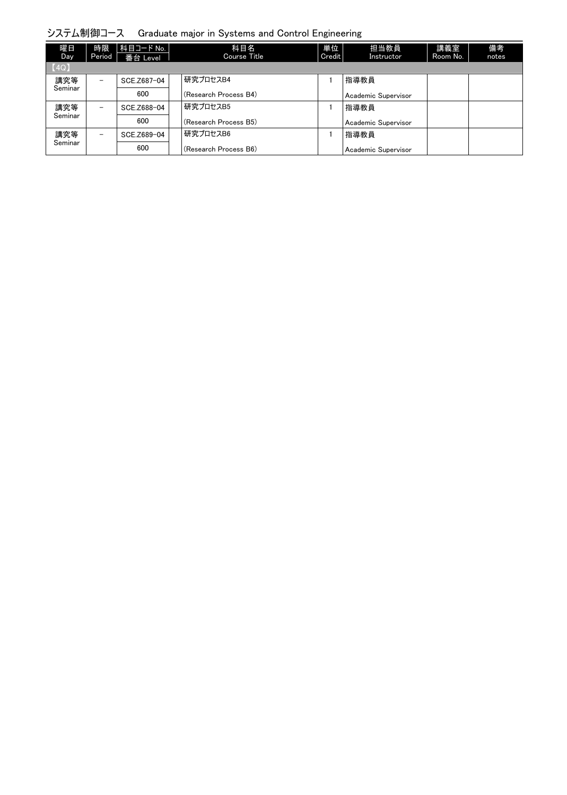| 曜日<br>Day <sup>1</sup> | 時限<br>Period             | │科目コード No. │<br>番台 Level | 科目名<br>Course Title   | 単位<br>Credit | 担当教員<br><b>Instructor</b> | 講義室<br>Room No. | 備考<br>notes |
|------------------------|--------------------------|--------------------------|-----------------------|--------------|---------------------------|-----------------|-------------|
| [4Q]                   |                          |                          |                       |              |                           |                 |             |
| 講究等                    | $\overline{\phantom{0}}$ | SCE.Z687-04              | 研究プロセスB4              |              | 指導教員                      |                 |             |
| Seminar                |                          | 600                      | (Research Process B4) |              | Academic Supervisor       |                 |             |
| 講究等                    | $\qquad \qquad -$        | SCE.Z688-04              | 研究プロセスB5              |              | 指導教員                      |                 |             |
| Seminar                |                          | 600                      | (Research Process B5) |              | Academic Supervisor       |                 |             |
| 講究等<br>Seminar         | $\overline{\phantom{0}}$ | SCE.Z689-04              | 研究プロセスB6              |              | 指導教員                      |                 |             |
|                        |                          | 600                      | (Research Process B6) |              | Academic Supervisor       |                 |             |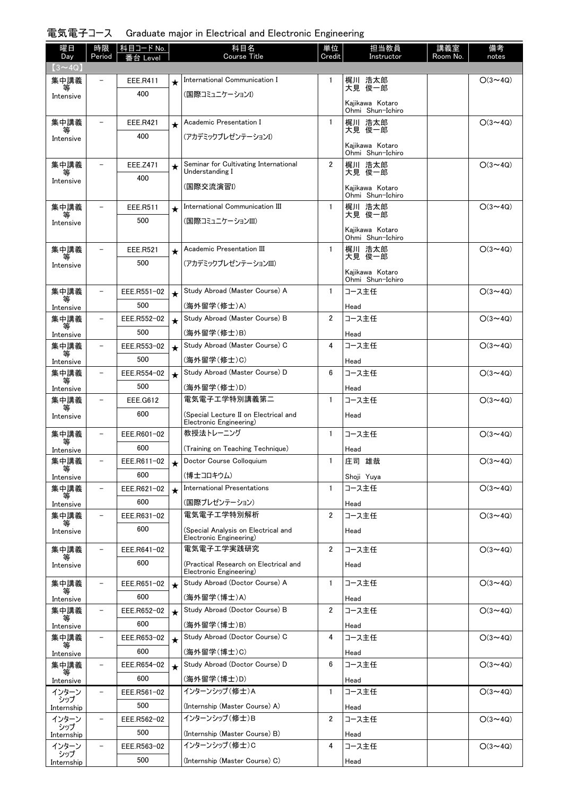## 電気電子コース Graduate major in Electrical and Electronic Engineering

| 曜日                   | 時限                       | 科目コード No.          |         | 科目名                                                              | 単位             | 担当教員                                | 講義室      | 備考             |
|----------------------|--------------------------|--------------------|---------|------------------------------------------------------------------|----------------|-------------------------------------|----------|----------------|
| Day<br>$(3 \sim 4Q)$ | Period                   | Level              |         | Course Title                                                     | Credit         | Instructor                          | Room No. | notes          |
| 集中講義                 |                          | EEE.R411           | $\star$ | International Communication I                                    | $\mathbf{1}$   | 梶川 浩太郎                              |          | $O(3 \sim 4Q)$ |
| Intensive            |                          | 400                |         | (国際コミュニケーションI)                                                   |                | 大見 俊一郎                              |          |                |
|                      |                          |                    |         |                                                                  |                | Kajikawa Kotaro<br>Ohmi Shun-Ichiro |          |                |
| 集中講義                 | $\overline{\phantom{0}}$ | EEE.R421           | $\star$ | Academic Presentation I                                          | $\mathbf{1}$   | 梶川 浩太郎                              |          | $O(3 \sim 4Q)$ |
| 等<br>Intensive       |                          | 400                |         | (アカデミックプレゼンテーションI)                                               |                | 大見 俊一郎                              |          |                |
|                      |                          |                    |         |                                                                  |                | Kajikawa Kotaro<br>Ohmi Shun-Ichiro |          |                |
| 集中講義                 |                          | EEE.Z471           | $\star$ | Seminar for Cultivating International                            | $\overline{2}$ | 梶川 浩太郎                              |          | $O(3 \sim 4Q)$ |
| 等<br>Intensive       |                          | 400                |         | Understanding I                                                  |                | 大見 俊一郎                              |          |                |
|                      |                          |                    |         | (国際交流演習I)                                                        |                | Kaiikawa Kotaro<br>Ohmi Shun-Ichiro |          |                |
| 集中講義                 | $\overline{\phantom{0}}$ | EEE.R511           | $\star$ | International Communication III                                  | $\mathbf{1}$   | 梶川 浩太郎                              |          | $O(3 \sim 4Q)$ |
| 等<br>Intensive       |                          | 500                |         | (国際コミュニケーションIII)                                                 |                | 大見 俊一郎                              |          |                |
|                      |                          |                    |         |                                                                  |                | Kajikawa Kotaro<br>Ohmi Shun-Ichiro |          |                |
| 集中講義                 | $\overline{\phantom{0}}$ | EEE.R521           | $\star$ | Academic Presentation III                                        | $\mathbf{1}$   | 梶川 浩太郎                              |          | $O(3 \sim 4Q)$ |
| 等<br>Intensive       |                          | 500                |         | (アカデミックプレゼンテーションIII)                                             |                | 大見 俊一郎                              |          |                |
|                      |                          |                    |         |                                                                  |                | Kajikawa Kotaro<br>Ohmi Shun-Ichiro |          |                |
| 集中講義                 |                          | EEE.R551-02        | $\star$ | Study Abroad (Master Course) A                                   | $\mathbf{1}$   | コース主任                               |          | $O(3 \sim 4Q)$ |
| Intensive            |                          | 500                |         | (海外留学(修士)A)                                                      |                | Head                                |          |                |
| 集中講義                 |                          | EEE.R552-02        | $\star$ | Study Abroad (Master Course) B                                   | $\overline{2}$ | コース主任                               |          | $O(3 \sim 4Q)$ |
| 等<br>Intensive       |                          | 500                |         | (海外留学(修士)B)                                                      |                | Head                                |          |                |
| 集中講義                 | $\overline{\phantom{0}}$ | EEE.R553-02        | $\star$ | Study Abroad (Master Course) C                                   | 4              | コース主任                               |          | $O(3 \sim 4Q)$ |
| Intensive            |                          | 500                |         | (海外留学(修士)C)                                                      |                | Head                                |          |                |
| 集中講義                 | $\overline{\phantom{0}}$ | EEE.R554-02        | $\star$ | Study Abroad (Master Course) D                                   | 6              | コース主任                               |          | $O(3 \sim 4Q)$ |
| 等<br>Intensive       |                          | 500                |         | (海外留学(修士)D)                                                      |                | Head                                |          |                |
| 集中講義                 | $\overline{\phantom{0}}$ | EEE.G612           |         | 電気電子工学特別講義第二                                                     | $\mathbf{1}$   | コース主任                               |          | $O(3 \sim 4Q)$ |
| 等<br>Intensive       |                          | 600                |         | (Special Lecture II on Electrical and<br>Electronic Engineering) |                | Head                                |          |                |
| 集中講義                 | $\overline{\phantom{0}}$ | EEE.R601-02        |         | 教授法トレーニング                                                        | 1              | コース主任                               |          | $O(3 \sim 4Q)$ |
| 等<br>Intensive       |                          | 600                |         | (Training on Teaching Technique)                                 |                | Head                                |          |                |
| 集中講義                 |                          | EEE.R611-02        |         | Doctor Course Colloguium                                         | $\mathbf{1}$   | 庄司 雄哉                               |          | $O(3 \sim 4Q)$ |
| 等<br>Intensive       |                          | 600                |         | (博士コロキウム)                                                        |                | Shoji Yuya                          |          |                |
| 集中講義                 |                          | EEE.R621-02        | $\star$ | International Presentations                                      | $\mathbf{1}$   | コース主任                               |          | $O(3 \sim 4Q)$ |
| Intensive            |                          | 600                |         | (国際プレゼンテーション)                                                    |                | Head                                |          |                |
| 集中講義                 | $\overline{\phantom{0}}$ | EEE.R631-02        |         | 電気電子工学特別解析                                                       | $\overline{2}$ | コース主任                               |          | $O(3 \sim 4Q)$ |
| 等<br>Intensive       |                          | 600                |         | (Special Analysis on Electrical and                              |                | Head                                |          |                |
|                      |                          |                    |         | Electronic Engineering)<br>電気電子工学実践研究                            |                |                                     |          |                |
| 集中講義<br>等            | $\overline{\phantom{0}}$ | EEE.R641-02<br>600 |         |                                                                  | $\overline{2}$ | コース主任                               |          | $O(3 \sim 4Q)$ |
| Intensive            |                          |                    |         | (Practical Research on Electrical and<br>Electronic Engineering) |                | Head                                |          |                |
| 集中講義                 | $\overline{\phantom{0}}$ | EEE.R651-02        | $\star$ | Study Abroad (Doctor Course) A                                   | $\mathbf{1}$   | コース主任                               |          | $O(3 \sim 4Q)$ |
| 等<br>Intensive       |                          | 600                |         | (海外留学(博士)A)                                                      |                | Head                                |          |                |
| 集中講義<br>等            | $\overline{\phantom{a}}$ | EEE.R652-02        | $\star$ | Study Abroad (Doctor Course) B                                   | $\overline{2}$ | コース主任                               |          | $O(3 \sim 4Q)$ |
| Intensive            |                          | 600                |         | (海外留学(博士)B)                                                      |                | Head                                |          |                |
| 集中講義                 | -                        | EEE.R653-02        | $\star$ | Study Abroad (Doctor Course) C                                   | 4              | コース主任                               |          | $O(3 \sim 4Q)$ |
| Intensive            |                          | 600                |         | (海外留学(博士)C)                                                      |                | Head                                |          |                |
| 集中講義<br>等            |                          | EEE.R654-02        | $\star$ | Study Abroad (Doctor Course) D                                   | 6              | コース主任                               |          | $O(3 \sim 4Q)$ |
| Intensive            |                          | 600                |         | (海外留学(博士)D)                                                      |                | Head                                |          |                |
| インターン<br>シップ         |                          | EEE.R561-02        |         | インターンシップ (修士)A                                                   | $\mathbf{1}$   | コース主任                               |          | $O(3 \sim 4Q)$ |
| Internship           |                          | 500                |         | (Internship (Master Course) A)                                   |                | Head                                |          |                |
| インターン<br>シップ         | $\overline{\phantom{a}}$ | EEE.R562-02        |         | インターンシップ (修士)B                                                   | $\overline{2}$ | コース主任                               |          | $O(3 \sim 4Q)$ |
| Internship           |                          | 500                |         | (Internship (Master Course) B)<br>インターンシップ(修士)C                  | 4              | Head                                |          |                |
| インターン<br>シップ         | $\overline{\phantom{0}}$ | EEE.R563-02        |         |                                                                  |                | コース主任                               |          | $O(3 \sim 4Q)$ |
| Internship           |                          | 500                |         | (Internship (Master Course) C)                                   |                | Head                                |          |                |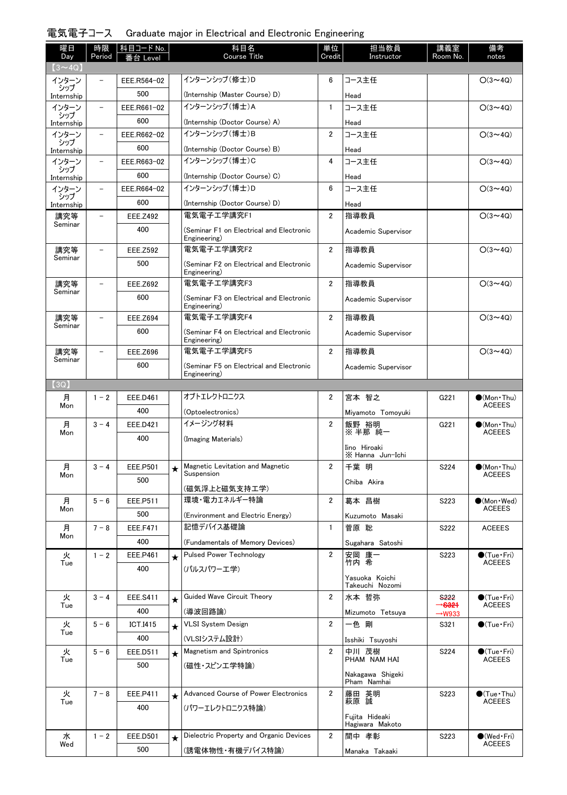## 電気電子コース Graduate major in Electrical and Electronic Engineering

| 曜日<br>Day         | 時限<br>Period             | 科目コード No.<br>番台 Level |         | 科目名<br><b>Course Title</b>                               | 単位<br>Credit   | 担当教員<br>Instructor                | 講義室<br>Room No.                          | 備考<br>notes                             |
|-------------------|--------------------------|-----------------------|---------|----------------------------------------------------------|----------------|-----------------------------------|------------------------------------------|-----------------------------------------|
| $(3 \sim 4Q)$     |                          |                       |         |                                                          |                |                                   |                                          |                                         |
| インターン             |                          | EEE.R564-02           |         | インターンシップ (修士)D                                           | 6              | コース主任                             |                                          | $O(3 \sim 4Q)$                          |
| シップ<br>Internship |                          | 500                   |         | (Internship (Master Course) D)                           |                | Head                              |                                          |                                         |
| インターン<br>シップ      | -                        | EEE.R661-02           |         | インターンシップ(博士)A                                            | $\mathbf{1}$   | コース主任                             |                                          | $O(3 \sim 40)$                          |
| Internship        |                          | 600                   |         | (Internship (Doctor Course) A)                           |                | Head                              |                                          |                                         |
| インターン<br>シップ      | $\overline{\phantom{0}}$ | EEE.R662-02           |         | インターンシップ (博士)B                                           | $\overline{2}$ | コース主任                             |                                          | $O(3 \sim 4Q)$                          |
| Internship        |                          | 600                   |         | (Internship (Doctor Course) B)                           |                | Head                              |                                          |                                         |
| インターン<br>シップ      | $\overline{\phantom{a}}$ | EEE.R663-02           |         | インターンシップ (博士)C                                           | 4              | コース主任                             |                                          | $O(3 \sim 4Q)$                          |
| Internship        |                          | 600                   |         | (Internship (Doctor Course) C)                           |                | Head                              |                                          |                                         |
| インターン<br>シップ      | $\overline{\phantom{a}}$ | EEE.R664-02           |         | インターンシップ(博士)D                                            | 6              | コース主任                             |                                          | $O(3 \sim 4Q)$                          |
| Internship        |                          | 600                   |         | (Internship (Doctor Course) D)                           |                | Head                              |                                          |                                         |
| 講究等               |                          | EEE.Z492              |         | 電気雷子工学講究F1                                               | $\overline{2}$ | 指導教員                              |                                          | $O(3 \sim 4Q)$                          |
| Seminar           |                          | 400                   |         | (Seminar F1 on Electrical and Electronic<br>Engineering) |                | Academic Supervisor               |                                          |                                         |
| 講究等               |                          | <b>EEE.Z592</b>       |         | 電気雷子工学講究F2                                               | $\overline{2}$ | 指導教員                              |                                          | $O(3 \sim 4Q)$                          |
| Seminar           |                          | 500                   |         | (Seminar F2 on Electrical and Electronic<br>Engineering) |                | Academic Supervisor               |                                          |                                         |
| 講究等               |                          | <b>EEE.Z692</b>       |         | 電気電子工学講究F3                                               | $\overline{2}$ | 指導教員                              |                                          | $O(3 \sim 4Q)$                          |
| Seminar           |                          | 600                   |         | (Seminar F3 on Electrical and Electronic                 |                | Academic Supervisor               |                                          |                                         |
| 講究等               |                          | <b>EEE.Z694</b>       |         | Engineering)<br>電気電子工学講究F4                               | $\overline{2}$ | 指導教員                              |                                          | $O(3 \sim 4Q)$                          |
| Seminar           |                          | 600                   |         | (Seminar F4 on Electrical and Electronic                 |                | Academic Supervisor               |                                          |                                         |
|                   |                          |                       |         | Engineering)                                             |                |                                   |                                          |                                         |
| 講究等<br>Seminar    |                          | <b>EEE.Z696</b>       |         | 電気電子工学講究F5                                               | $\overline{2}$ | 指導教員                              |                                          | $O(3 \sim 4Q)$                          |
|                   |                          | 600                   |         | (Seminar F5 on Electrical and Electronic<br>Engineering) |                | Academic Supervisor               |                                          |                                         |
| (3Q)              |                          |                       |         |                                                          |                |                                   |                                          |                                         |
| 月<br>Mon          | $1 - 2$                  | EEE.D461              |         | オプトエレクトロニクス                                              | $\overline{2}$ | 宮本 智之                             | G221                                     | $\bullet$ (Mon•Thu)<br><b>ACEEES</b>    |
|                   |                          | 400                   |         | (Optoelectronics)                                        |                | Miyamoto Tomoyuki                 |                                          |                                         |
| 月<br>Mon          | $3 - 4$                  | <b>EEE.D421</b>       |         | イメージング材料                                                 | $\overline{2}$ | 飯野 裕明<br>※半那 純一                   | G221                                     | $\bigcirc$ (Mon Thu)<br><b>ACEEES</b>   |
|                   |                          | 400                   |         | (Imaging Materials)                                      |                | Iino Hiroaki                      |                                          |                                         |
|                   |                          |                       |         |                                                          |                | X Hanna Jun-Ichi                  |                                          |                                         |
| 月<br>Mon          | $3 - 4$                  | EEE.P501              | $\star$ | Magnetic Levitation and Magnetic<br>Suspension           | $\overline{2}$ | 千葉 明                              | S224                                     | $\bigcirc$ (Mon · Thu)<br><b>ACEEES</b> |
|                   |                          | 500                   |         | (磁気浮上と磁気支持エ学)                                            |                | Chiba Akira                       |                                          |                                         |
| 月                 | $5 - 6$                  | EEE.P511              |         | 環境・電力エネルギー特論                                             | $\overline{2}$ | 葛本 昌樹                             | S223                                     | $\bullet$ (Mon · Wed)                   |
| Mon               |                          | 500                   |         | (Environment and Electric Energy)                        |                | Kuzumoto Masaki                   |                                          | <b>ACEEES</b>                           |
| 月                 | $7 - 8$                  | <b>EEE.F471</b>       |         | 記憶デバイス基礎論                                                | $\mathbf{1}$   | 菅原 聡                              | S222                                     | <b>ACEEES</b>                           |
| Mon               |                          | 400                   |         | (Fundamentals of Memory Devices)                         |                | Sugahara Satoshi                  |                                          |                                         |
| 火                 | $1 - 2$                  | <b>EEE.P461</b>       | $\star$ | <b>Pulsed Power Technology</b>                           | $\overline{2}$ | 安岡 康一                             | S223                                     | $\bullet$ (Tue · Fri)                   |
| Tue               |                          | 400                   |         | (パルスパワーエ学)                                               |                | 竹内 希                              |                                          | <b>ACEEES</b>                           |
|                   |                          |                       |         |                                                          |                | Yasuoka Koichi<br>Takeuchi Nozomi |                                          |                                         |
| 火                 | $3 - 4$                  | <b>EEE.S411</b>       | $\star$ | Guided Wave Circuit Theory                               | $\overline{2}$ | 水本 哲弥                             | <b>S222</b>                              | $\bigcirc$ (Tue · Fri)                  |
| Tue               |                          | 400                   |         | (導波回路論)                                                  |                | Mizumoto Tetsuya                  | $\rightarrow$ S321<br>$\rightarrow$ W933 | <b>ACEEES</b>                           |
| 火                 | $5 - 6$                  | ICT.I415              | $\star$ | <b>VLSI System Design</b>                                | $\overline{2}$ | 一色 剛                              | S321                                     | $\bullet$ (Tue · Fri)                   |
| Tue               |                          | 400                   |         | (VLSIシステム設計)                                             |                | Isshiki Tsuyoshi                  |                                          |                                         |
| 火                 | $5 - 6$                  | EEE.D511              | $\star$ | Magnetism and Spintronics                                | $\overline{2}$ | 中川 茂樹<br>PHAM NAM HAI             | S224                                     | ●(Tue·Fri)<br><b>ACEEES</b>             |
| Tue               |                          | 500                   |         | (磁性・スピンエ学特論)                                             |                |                                   |                                          |                                         |
|                   |                          |                       |         |                                                          |                | Nakagawa Shigeki<br>Pham Namhai   |                                          |                                         |
| 火                 | $7 - 8$                  | EEE.P411              | $\star$ | Advanced Course of Power Electronics                     | $\overline{2}$ | 藤田 英明<br>萩原 誠                     | S223                                     | $\bigcirc$ (Tue · Thu)                  |
| Tue               |                          | 400                   |         | (パワーエレクトロニクス特論)                                          |                |                                   |                                          | <b>ACEEES</b>                           |
|                   |                          |                       |         |                                                          |                | Fujita Hideaki<br>Hagiwara Makoto |                                          |                                         |
| 水                 | $1 - 2$                  | <b>EEE.D501</b>       |         | Dielectric Property and Organic Devices                  | $\overline{2}$ | 間中 孝彰                             | S223                                     | $\bigcirc$ (Wed · Fri)                  |
| Wed               |                          | 500                   |         | (誘電体物性・有機デバイス特論)                                         |                | Manaka Takaaki                    |                                          | <b>ACEEES</b>                           |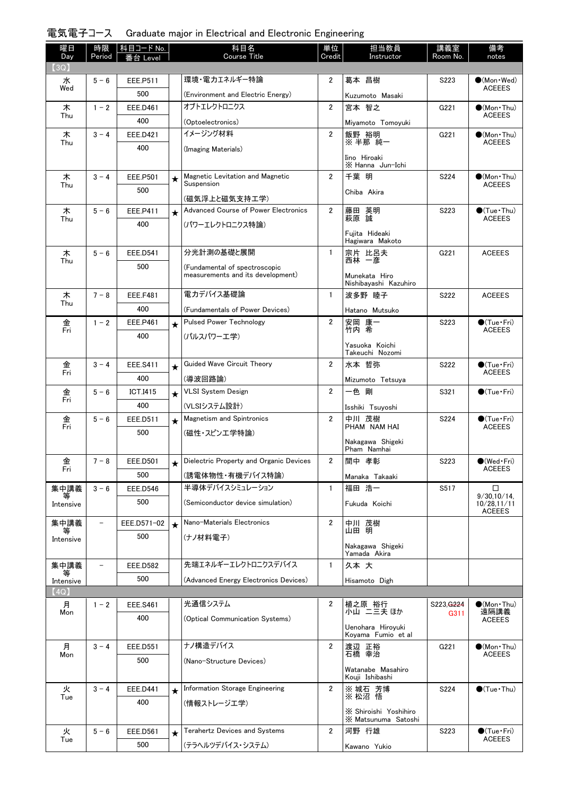| 電気電子コース Graduate major in Electrical and Electronic Engineering |  |  |  |  |  |  |  |
|-----------------------------------------------------------------|--|--|--|--|--|--|--|
|-----------------------------------------------------------------|--|--|--|--|--|--|--|

| 曜日<br>Day      | 時限<br>Period | 科目コード No.<br>番台 Level |         | 科目名<br><b>Course Title</b>                                         | 単位<br>Credit   | 担当教員<br>Instructor                      | 講義室<br>Room No.        | 備考<br>notes                                  |
|----------------|--------------|-----------------------|---------|--------------------------------------------------------------------|----------------|-----------------------------------------|------------------------|----------------------------------------------|
| 【3Q】           |              |                       |         |                                                                    |                |                                         |                        |                                              |
| 水<br>Wed       | $5 - 6$      | EEE.P511              |         | 環境・電力エネルギー特論                                                       | $\overline{2}$ | 葛本 昌樹                                   | S223                   | $\bullet$ (Mon $\cdot$ Wed)<br><b>ACEEES</b> |
|                |              | 500                   |         | (Environment and Electric Energy)                                  |                | Kuzumoto Masaki                         |                        |                                              |
| 木<br>Thu       | $1 - 2$      | <b>EEE.D461</b>       |         | オブトエレクトロニクス                                                        | $\overline{2}$ | 宮本 智之                                   | G221                   | $\bullet$ (Mon Thu)<br><b>ACEEES</b>         |
|                |              | 400                   |         | (Optoelectronics)                                                  |                | Miyamoto Tomoyuki                       |                        |                                              |
| 木<br>Thu       | $3 - 4$      | EEE.D421              |         | イメージング材料                                                           | $\overline{2}$ | 飯野 裕明<br>※半那 純一                         | G221                   | $\bigcirc$ (Mon•Thu)<br><b>ACEEES</b>        |
|                |              | 400                   |         | (Imaging Materials)                                                |                | Iino Hiroaki                            |                        |                                              |
|                |              |                       |         |                                                                    |                | X Hanna Jun-Ichi                        |                        |                                              |
| 木<br>Thu       | $3 - 4$      | <b>EEE.P501</b>       | $\star$ | Magnetic Levitation and Magnetic<br>Suspension                     | $\overline{2}$ | 千葉 明                                    | S224                   | $\bullet$ (Mon•Thu)<br>ACEEES                |
|                |              | 500                   |         | (磁気浮上と磁気支持工学)                                                      |                | Chiba Akira                             |                        |                                              |
| 木              | $5 - 6$      | EEE.P411              | $\star$ | Advanced Course of Power Electronics                               | $\overline{2}$ | 藤田 英明                                   | S223                   | $\bullet$ (Tue•Thu)                          |
| Thu            |              | 400                   |         | (パワーエレクトロニクス特論)                                                    |                | 萩原 誠                                    |                        | <b>ACEEES</b>                                |
|                |              |                       |         |                                                                    |                | Fujita Hideaki                          |                        |                                              |
|                |              |                       |         | 分光計測の基礎と展開                                                         |                | Hagiwara Makoto                         |                        |                                              |
| 木<br>Thu       | $5 - 6$      | <b>EEE.D541</b>       |         |                                                                    | $\mathbf{1}$   | 宗片 比呂夫<br>西林 一彦                         | G221                   | <b>ACEEES</b>                                |
|                |              | 500                   |         | (Fundamental of spectroscopic<br>measurements and its development) |                | Munekata Hiro                           |                        |                                              |
|                |              |                       |         |                                                                    |                | Nishibavashi Kazuhiro                   |                        |                                              |
| 木<br>Thu       | $7 - 8$      | <b>EEE.F481</b>       |         | 電力デバイス基礎論                                                          | $\mathbf{1}$   | 波多野 睦子                                  | S222                   | <b>ACEEES</b>                                |
|                |              | 400                   |         | (Fundamentals of Power Devices)                                    |                | Hatano Mutsuko                          |                        |                                              |
| 金<br>Fri       | $1 - 2$      | EEE.P461              | $\star$ | <b>Pulsed Power Technology</b>                                     | $\overline{2}$ | 安岡 康一<br>竹内 希                           | S223                   | $\bigcirc$ (Tue · Fri)<br><b>ACEEES</b>      |
|                |              | 400                   |         | (パルスパワーエ学)                                                         |                |                                         |                        |                                              |
|                |              |                       |         |                                                                    |                | Yasuoka Koichi<br>Takeuchi Nozomi       |                        |                                              |
| 金              | $3 - 4$      | <b>EEE.S411</b>       | $\star$ | Guided Wave Circuit Theory                                         | $\overline{2}$ | 水本 哲弥                                   | S222                   | $\bigcirc$ (Tue · Fri)                       |
| Fri            |              | 400                   |         | (導波回路論)                                                            |                | Mizumoto Tetsuya                        |                        | <b>ACEEES</b>                                |
| 金              | $5 - 6$      | <b>ICT.I415</b>       | $\star$ | <b>VLSI System Design</b>                                          | $\overline{2}$ | 一色 剛                                    | S321                   | $\bigcirc$ (Tue•Fri)                         |
| Fri            |              | 400                   |         | (VLSIシステム設計)                                                       |                | Isshiki Tsuyoshi                        |                        |                                              |
| 金              | $5 - 6$      | EEE.D511              | $\star$ | <b>Magnetism and Spintronics</b>                                   | $\overline{2}$ | 中川 茂樹                                   | S224                   | $\bigcirc$ (Tue·Fri)                         |
| Fri            |              | 500                   |         | (磁性・スピンエ学特論)                                                       |                | PHAM NAM HAI                            |                        | <b>ACEEES</b>                                |
|                |              |                       |         |                                                                    |                | Nakagawa Shigeki<br>Pham Namhai         |                        |                                              |
| 金              | $7 - 8$      | EEE.D501              |         | Dielectric Property and Organic Devices                            | 2              | 間中 孝彰                                   | S223                   | $\bigcirc$ (Wed Fri)                         |
| Fri            |              | 500                   |         | (誘電体物性・有機デバイス特論)                                                   |                | Manaka Takaaki                          |                        | <b>ACEEES</b>                                |
| 集中講義           | $3 - 6$      | <b>EEE.D546</b>       |         | 半導体デバイスシミュレーション                                                    | $\mathbf{1}$   | 福田 浩一                                   | S517                   | □                                            |
| 等<br>Intensive |              | 500                   |         | (Semiconductor device simulation)                                  |                | Fukuda Koichi                           |                        | 9/30,10/14<br>10/28,11/11                    |
|                |              |                       |         |                                                                    |                |                                         |                        | <b>ACEEES</b>                                |
| 集中講義           |              | EEE.D571-02           | $\star$ | Nano-Materials Electronics                                         | $\overline{2}$ | 中川 茂樹<br>山田 明                           |                        |                                              |
| 等<br>Intensive |              | 500                   |         | (ナノ材料電子)                                                           |                |                                         |                        |                                              |
|                |              |                       |         |                                                                    |                | Nakagawa Shigeki<br>Yamada Akira        |                        |                                              |
| 集中講義           |              | <b>EEE.D582</b>       |         | 先端エネルギーエレクトロニクスデバイス                                                | $\mathbf{1}$   | 久本大                                     |                        |                                              |
| 等<br>Intensive |              | 500                   |         | (Advanced Energy Electronics Devices)                              |                | Hisamoto Digh                           |                        |                                              |
| (4Q)           |              |                       |         |                                                                    |                |                                         |                        |                                              |
| 月              | $1 - 2$      | <b>EEE.S461</b>       |         | 光通信システム                                                            | 2              | 植之原 裕行<br>小山 二三夫 ほか                     | S223, G <sub>224</sub> | $\bullet$ (Mon•Thu)                          |
| Mon            |              | 400                   |         | (Optical Communication Systems)                                    |                |                                         | G311                   | 遠隔講義<br><b>ACEEES</b>                        |
|                |              |                       |         |                                                                    |                | Uenohara Hiroyuki<br>Koyama Fumio et al |                        |                                              |
| 月              | $3 - 4$      | <b>EEE.D551</b>       |         | ナノ構造デバイス                                                           | $\overline{2}$ | 渡辺 正裕                                   | G221                   | $(Mon\cdot Thu)$                             |
| Mon            |              | 500                   |         | (Nano-Structure Devices)                                           |                | 石橋 幸治                                   |                        | ACEEES                                       |
|                |              |                       |         |                                                                    |                | Watanabe Masahiro<br>Kouji Ishibashi    |                        |                                              |
| 火              | $3 - 4$      | EEE.D441              | $\star$ | Information Storage Engineering                                    | 2              | ※ 城石 芳博                                 | S224                   | $\bigcirc$ (Tue · Thu)                       |
| Tue            |              | 400                   |         | (情報ストレージエ学)                                                        |                | ※ 松沼 悟                                  |                        |                                              |
|                |              |                       |         |                                                                    |                | X Shiroishi Yoshihiro                   |                        |                                              |
|                |              |                       |         | Terahertz Devices and Systems                                      | $\overline{2}$ | X Matsunuma Satoshi                     |                        |                                              |
| 火<br>Tue       | $5 - 6$      | EEE.D561              | $\star$ |                                                                    |                | 河野 行雄                                   | S223                   | $\bullet$ (Tue · Fri)<br><b>ACEEES</b>       |
|                |              | 500                   |         | (テラヘルツデバイス・システム)                                                   |                | Kawano Yukio                            |                        |                                              |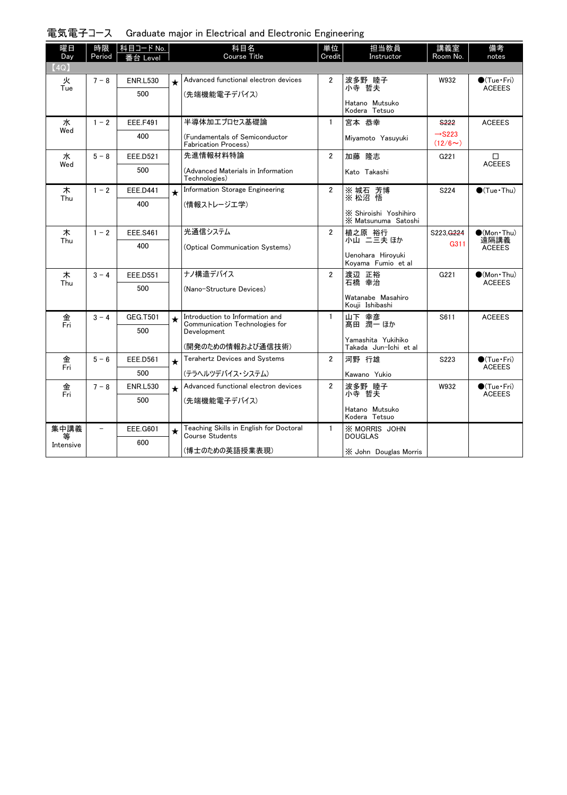| 電気電子コース Graduate major in Electrical and Electronic Engineering |  |  |  |  |  |  |  |
|-----------------------------------------------------------------|--|--|--|--|--|--|--|
|-----------------------------------------------------------------|--|--|--|--|--|--|--|

| 曜日<br>Day | 時限<br>Period | │科目コード No.<br>番台 Level |         | 科目名<br><b>Course Title</b>                                        | 単位<br>Credit   | 担当教員<br>Instructor                             | 講義室<br>Room No.                    | 備考<br>notes                             |
|-----------|--------------|------------------------|---------|-------------------------------------------------------------------|----------------|------------------------------------------------|------------------------------------|-----------------------------------------|
| (4Q)      |              |                        |         |                                                                   |                |                                                |                                    |                                         |
| 火         | $7 - 8$      | <b>ENR.L530</b>        | $\star$ | Advanced functional electron devices                              | $\overline{2}$ | 波多野 睦子                                         | W932                               | $\bullet$ (Tue•Fri)                     |
| Tue       |              | 500                    |         | (先端機能電子デバイス)                                                      |                | 小寺 哲夫                                          |                                    | <b>ACEEES</b>                           |
|           |              |                        |         |                                                                   |                | Hatano Mutsuko<br>Kodera Tetsuo                |                                    |                                         |
| 水         | $1 - 2$      | <b>EEE.F491</b>        |         | 半導体加エプロセス基礎論                                                      | $\mathbf{1}$   | 宮本 恭幸                                          | S <sub>222</sub>                   | <b>ACEEES</b>                           |
| Wed       |              | 400                    |         | (Fundamentals of Semiconductor<br>Fabrication Process)            |                | Miyamoto Yasuyuki                              | $\rightarrow$ S223<br>$(12/6\sim)$ |                                         |
| 水         | $5 - 8$      | <b>EEE.D521</b>        |         | 先進情報材料特論                                                          | $\overline{2}$ | 加藤 降志                                          | G221                               | $\Box$<br><b>ACEEES</b>                 |
| Wed       |              | 500                    |         | (Advanced Materials in Information<br>Technologies)               |                | Kato Takashi                                   |                                    |                                         |
| 木<br>Thu  | $1 - 2$      | EEE.D441               | $\star$ | Information Storage Engineering                                   | $\overline{2}$ | ※ 城石 芳博<br>※ 松沼 悟                              | S224                               | $\bullet$ (Tue · Thu)                   |
|           |              | 400                    |         | (情報ストレージエ学)                                                       |                |                                                |                                    |                                         |
|           |              |                        |         |                                                                   |                | X Shiroishi Yoshihiro<br>X Matsunuma Satoshi   |                                    |                                         |
| 木<br>Thu  | $1 - 2$      | <b>EEE.S461</b>        |         | 光通信システム                                                           | $\overline{2}$ | 植之原 裕行<br>小山 二三夫 ほか                            | S223, G <sub>224</sub>             | $\bullet$ (Mon Thu)<br>遠隔講義             |
|           |              | 400                    |         | (Optical Communication Systems)                                   |                |                                                | G311                               | <b>ACEEES</b>                           |
|           |              |                        |         |                                                                   |                | Uenohara Hiroyuki<br>Kovama Fumio et al        |                                    |                                         |
| 木<br>Thu  | $3 - 4$      | <b>EEE.D551</b>        |         | ナノ構造デバイス                                                          | $\overline{2}$ | 渡辺 正裕<br>石橋 幸治                                 | G221                               | $\bigcirc$ (Mon Thu)<br><b>ACEEES</b>   |
|           |              | 500                    |         | (Nano-Structure Devices)                                          |                |                                                |                                    |                                         |
|           |              |                        |         |                                                                   |                | Watanabe Masahiro<br>Kouji Ishibashi           |                                    |                                         |
| 金<br>Fri  | $3 - 4$      | GEG.T501               |         | Introduction to Information and<br>Communication Technologies for | $\mathbf{1}$   | 山下 幸彦<br>髙田 潤一 ほか                              | S611                               | <b>ACEEES</b>                           |
|           |              | 500                    |         | Development                                                       |                |                                                |                                    |                                         |
|           |              |                        |         | (開発のための情報および通信技術)                                                 |                | Yamashita Yukihiko<br>Takada Jun-Ichi et al    |                                    |                                         |
| 金<br>Fri  | $5 - 6$      | <b>EEE.D561</b>        | $\star$ | <b>Terahertz Devices and Systems</b>                              | $\overline{2}$ | 河野 行雄                                          | S223                               | $\bigcirc$ (Tue · Fri)                  |
|           |              | 500                    |         | (テラヘルツデバイス・システム)                                                  |                | Kawano Yukio                                   |                                    | <b>ACEEES</b>                           |
| 金<br>Fri  | $7 - 8$      | <b>ENR.L530</b>        | $\star$ | Advanced functional electron devices                              | $\overline{2}$ | 波多野 睦子<br>小寺 哲夫                                | W932                               | $\bigcirc$ (Tue · Fri)<br><b>ACEEES</b> |
|           |              | 500                    |         | (先端機能電子デバイス)                                                      |                |                                                |                                    |                                         |
|           |              |                        |         |                                                                   |                | Hatano Mutsuko<br>Kodera Tetsuo                |                                    |                                         |
| 集中講義      |              | <b>EEE.G601</b>        | $\star$ | Teaching Skills in English for Doctoral<br>Course Students        | $\mathbf{1}$   | <b>X MORRIS JOHN</b>                           |                                    |                                         |
| Intensive |              | 600                    |         | (博士のための英語授業表現)                                                    |                | <b>DOUGLAS</b><br>$\times$ John Douglas Morris |                                    |                                         |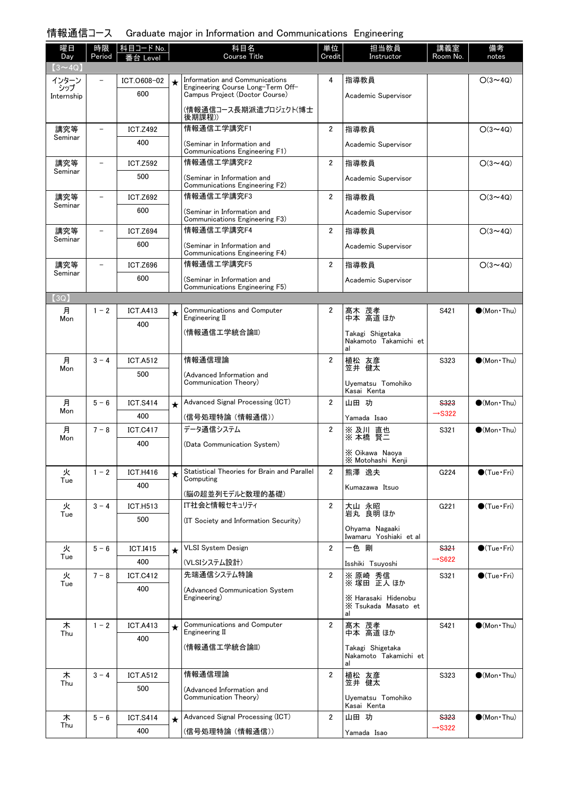# 情報通信コース Graduate major in Information and Communications Engineering

| 曜日<br>Day         | 時限<br>Period             | 科目コード No.       |         | 科目名<br>Course Title                                                 | 単位<br>Credit   | 担当教員<br>Instructor                       | 講義室<br>Room No.    | 備考<br>notes            |
|-------------------|--------------------------|-----------------|---------|---------------------------------------------------------------------|----------------|------------------------------------------|--------------------|------------------------|
| $(3 \sim 4Q)$     |                          | 台 Level         |         |                                                                     |                |                                          |                    |                        |
| インターン             |                          | ICT.0608-02     | $\star$ | Information and Communications                                      | 4              | 指導教員                                     |                    | $O(3 \sim 4Q)$         |
| シップ<br>Internship |                          | 600             |         | Engineering Course Long-Term Off-<br>Campus Project (Doctor Course) |                | Academic Supervisor                      |                    |                        |
|                   |                          |                 |         | (情報通信コース長期派遣プロジェクト(博士<br>後期課程))                                     |                |                                          |                    |                        |
| 講究等<br>Seminar    | $\overline{\phantom{0}}$ | <b>ICT.Z492</b> |         | 情報通信工学講究F1                                                          | $\overline{2}$ | 指導教員                                     |                    | $O(3 \sim 4Q)$         |
|                   |                          | 400             |         | (Seminar in Information and<br>Communications Engineering F1)       |                | Academic Supervisor                      |                    |                        |
| 講究等<br>Seminar    | $\overline{\phantom{0}}$ | <b>ICT.Z592</b> |         | 情報通信工学講究F2                                                          | $\overline{2}$ | 指導教員                                     |                    | $O(3 \sim 4Q)$         |
|                   |                          | 500             |         | (Seminar in Information and<br>Communications Engineering F2)       |                | Academic Supervisor                      |                    |                        |
| 講究等<br>Seminar    | $\overline{\phantom{a}}$ | <b>ICT.Z692</b> |         | 情報通信工学講究F3                                                          | $\overline{2}$ | 指導教員                                     |                    | $O(3 \sim 4Q)$         |
|                   |                          | 600             |         | (Seminar in Information and<br>Communications Engineering F3)       |                | Academic Supervisor                      |                    |                        |
| 講究等               | $\overline{\phantom{0}}$ | <b>ICT.Z694</b> |         | 情報通信工学講究F4                                                          | $\overline{2}$ | 指導教員                                     |                    | $O(3 \sim 4Q)$         |
| Seminar           |                          | 600             |         | (Seminar in Information and<br>Communications Engineering F4)       |                | Academic Supervisor                      |                    |                        |
| 講究等<br>Seminar    | $\qquad \qquad -$        | <b>ICT.Z696</b> |         | 情報通信工学講究F5                                                          | $\overline{2}$ | 指導教員                                     |                    | $O(3 \sim 4Q)$         |
|                   |                          | 600             |         | (Seminar in Information and<br>Communications Engineering F5)       |                | Academic Supervisor                      |                    |                        |
| (3Q)              |                          |                 |         |                                                                     |                |                                          |                    |                        |
| 月<br>Mon          | $1 - 2$                  | <b>ICT.A413</b> | ★       | Communications and Computer<br>Engineering II                       | $\overline{2}$ | 髙木 茂孝<br>中本 高道ほか                         | S421               | $\bullet$ (Mon Thu)    |
|                   |                          | 400             |         | (情報通信工学統合論II)                                                       |                | Takagi Shigetaka                         |                    |                        |
|                   |                          |                 |         |                                                                     |                | Nakamoto Takamichi et<br>al              |                    |                        |
| 月                 | $3 - 4$                  | <b>ICT.A512</b> |         | 情報通信理論                                                              | $\overline{2}$ | 植松 友彦                                    | S323               | $\bigcirc$ (Mon Thu)   |
| Mon               |                          | 500             |         | (Advanced Information and<br>Communication Theory)                  |                | 笠井 健太                                    |                    |                        |
|                   |                          |                 |         |                                                                     |                | Uyematsu Tomohiko<br>Kasai Kenta         |                    |                        |
| 月<br>Mon          | $5 - 6$                  | <b>ICT.S414</b> | $\star$ | Advanced Signal Processing (ICT)                                    | $\overline{2}$ | 山田 功                                     | <b>S323</b>        | $\bigcirc$ (Mon Thu)   |
|                   |                          | 400             |         | (信号処理特論(情報通信))                                                      |                | Yamada Isao                              | $\rightarrow$ S322 |                        |
| 月<br>Mon          | $7 - 8$                  | <b>ICT.C417</b> |         | データ通信システム                                                           | $\overline{2}$ | ※ 及川 直也<br>※ 本橋 賢二                       | S321               | $\bigcirc$ (Mon Thu)   |
|                   |                          | 400             |         | (Data Communication System)                                         |                | X Oikawa Naoya<br>X Motohashi Kenji      |                    |                        |
| 火                 | $1 - 2$                  | <b>ICT.H416</b> | ★       | Statistical Theories for Brain and Parallel                         | $\overline{2}$ | 熊澤 逸夫                                    | G224               | $\bigcirc$ (Tue · Fri) |
| Tue               |                          | 400             |         | Computing<br>(脳の超並列モデルと数理的基礎)                                       |                | Kumazawa Itsuo                           |                    |                        |
| 火                 | $3 - 4$                  | <b>ICT.H513</b> |         | IT社会と情報セキュリティ                                                       | $\overline{2}$ | 大山 永昭<br>岩丸 良明ほか                         | G221               | $\bigcirc$ (Tue•Fri)   |
| Tue               |                          | 500             |         | (IT Society and Information Security)                               |                |                                          |                    |                        |
|                   |                          |                 |         |                                                                     |                | Ohyama Nagaaki<br>Iwamaru Yoshiaki et al |                    |                        |
| 火<br>Tue          | $5 - 6$                  | <b>ICT.I415</b> |         | <b>VLSI System Design</b>                                           | $\overline{2}$ | 一色剛                                      | <b>S321</b>        | $\bigcirc$ (Tue · Fri) |
|                   |                          | 400             |         | (VLSIシステム設計)                                                        |                | Isshiki Tsuyoshi                         | $\rightarrow$ S622 |                        |
| 火<br>Tue          | $7 - 8$                  | <b>ICT.C412</b> |         | 先端通信システム特論                                                          | $\overline{2}$ | ※ 原崎 秀信<br>※ 塚田 正人 ほか                    | S321               | $\bigcirc$ (Tue·Fri)   |
|                   |                          | 400             |         | (Advanced Communication System<br>Engineering)                      |                | X Harasaki Hidenobu                      |                    |                        |
|                   |                          |                 |         |                                                                     |                | X Tsukada Masato et<br>al                |                    |                        |
| 木<br>Thu          | $1 - 2$                  | <b>ICT.A413</b> | ★       | Communications and Computer<br>Engineering II                       | $\overline{2}$ | 髙木 茂孝<br>中本 高道ほか                         | S421               | $\bigcirc$ (Mon Thu)   |
|                   |                          | 400             |         | (情報通信工学統合論II)                                                       |                | Takagi Shigetaka                         |                    |                        |
|                   |                          |                 |         |                                                                     |                | Nakamoto Takamichi et<br>al              |                    |                        |
| 木<br>Thu          | $3 - 4$                  | <b>ICT.A512</b> |         | 情報通信理論                                                              | $\overline{2}$ | 植松 友彦<br>笠井 健太                           | S323               | $\bullet$ (Mon Thu)    |
|                   |                          | 500             |         | (Advanced Information and<br>Communication Theory)                  |                | Uyematsu Tomohiko                        |                    |                        |
| 木                 | $5 - 6$                  | <b>ICT.S414</b> | $\star$ | Advanced Signal Processing (ICT)                                    | 2              | Kasai Kenta<br>山田 功                      | <b>S323</b>        | $\bigcirc$ (Mon Thu)   |
| Thu               |                          | 400             |         | (信号処理特論(情報通信))                                                      |                | Yamada Isao                              | $\rightarrow$ S322 |                        |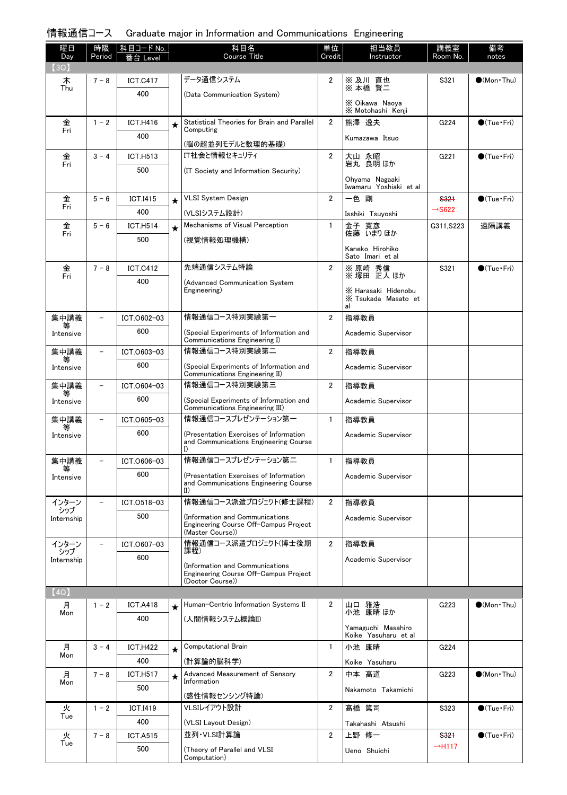# 情報通信コース Graduate major in Information and Communications Engineering

| 曜日                | 時限                       | 科目コード No.       |         | 科目名                                                                                          | 単位                      | 担当教員                                             | 講義室                        | 備考                     |
|-------------------|--------------------------|-----------------|---------|----------------------------------------------------------------------------------------------|-------------------------|--------------------------------------------------|----------------------------|------------------------|
| Day<br>(3Q)       | Period                   | を合 Level        |         | Course Title                                                                                 | Credit                  | Instructor                                       | Room No.                   | notes                  |
| 木                 | $7 - 8$                  | <b>ICT.C417</b> |         | データ通信システム                                                                                    | 2                       |                                                  | S321                       | $\bigcirc$ (Mon Thu)   |
| Thu               |                          | 400             |         | (Data Communication System)                                                                  |                         | ※ 及川 直也<br>※ 本橋 賢二                               |                            |                        |
|                   |                          |                 |         |                                                                                              |                         | X Oikawa Naoya<br>X Motohashi Kenji              |                            |                        |
| 金                 | $1 - 2$                  | <b>ICT.H416</b> | $\star$ | Statistical Theories for Brain and Parallel                                                  | 2                       | 熊澤 逸夫                                            | G224                       | $\bigcirc$ (Tue · Fri) |
| Fri               |                          | 400             |         | Computing                                                                                    |                         | Kumazawa Itsuo                                   |                            |                        |
|                   |                          |                 |         | (脳の超並列モデルと数理的基礎)                                                                             |                         |                                                  |                            |                        |
| 金<br>Fri          | $3 - 4$                  | <b>ICT.H513</b> |         | IT社会と情報セキュリティ                                                                                | 2                       | 大山 永昭<br>岩丸 良明 ほか                                | G221                       | $\bigcirc$ (Tue · Fri) |
|                   |                          | 500             |         | (IT Society and Information Security)                                                        |                         | Ohyama Nagaaki<br>Iwamaru Yoshiaki et al         |                            |                        |
| 金                 | $5 - 6$                  | <b>ICT.I415</b> | $\star$ | <b>VLSI System Design</b>                                                                    | $\overline{2}$          | 一色 剛                                             | S321                       | $\bigcirc$ (Tue · Fri) |
| Fri               |                          | 400             |         | (VLSIシステム設計)                                                                                 |                         | Isshiki Tsuyoshi                                 | $\rightarrow$ S622         |                        |
| 金                 | $5 - 6$                  | <b>ICT.H514</b> | $\star$ | Mechanisms of Visual Perception                                                              | $\mathbf{1}$            | 金子 寛彦                                            | G311, S223                 | 遠隔講義                   |
| Fri               |                          | 500             |         | (視覚情報処理機構)                                                                                   |                         | 佐藤 いまりほか                                         |                            |                        |
|                   |                          |                 |         |                                                                                              |                         | Kaneko Hirohiko<br>Sato Imari et al              |                            |                        |
| 金                 | $7 - 8$                  | <b>ICT.C412</b> |         | 先端通信システム特論                                                                                   | $\overline{2}$          | ※ 原崎 秀信                                          | S321                       | $\bullet$ (Tue•Fri)    |
| Fri               |                          | 400             |         | (Advanced Communication System                                                               |                         | ※塚田 正人ほか                                         |                            |                        |
|                   |                          |                 |         | Engineering)                                                                                 |                         | X Harasaki Hidenobu<br>X Tsukada Masato et<br>al |                            |                        |
| 集中講義              |                          | ICT.0602-03     |         | 情報通信コース特別実験第一                                                                                | $\overline{2}$          | 指導教員                                             |                            |                        |
| Intensive         |                          | 600             |         | (Special Experiments of Information and                                                      |                         | Academic Supervisor                              |                            |                        |
|                   |                          | ICT.0603-03     |         | Communications Engineering I)<br>情報通信コース特別実験第二                                               | $\overline{\mathbf{2}}$ |                                                  |                            |                        |
| 集中講義              |                          | 600             |         |                                                                                              |                         | 指導教員                                             |                            |                        |
| Intensive         |                          |                 |         | (Special Experiments of Information and<br>Communications Engineering II)                    |                         | Academic Supervisor                              |                            |                        |
| 集中講義              |                          | ICT.0604-03     |         | 情報通信コース特別実験第三                                                                                | $\overline{2}$          | 指導教員                                             |                            |                        |
| Intensive         |                          | 600             |         | (Special Experiments of Information and<br>Communications Engineering III)                   |                         | Academic Supervisor                              |                            |                        |
| 集中講義              |                          | ICT.0605-03     |         | 情報通信コースプレゼンテーション第一                                                                           | $\mathbf{1}$            | 指導教員                                             |                            |                        |
| Intensive         |                          | 600             |         | (Presentation Exercises of Information<br>and Communications Engineering Course<br>I)        |                         | Academic Supervisor                              |                            |                        |
| 集中講義              |                          | ICT.0606-03     |         | 情報通信コースプレゼンテーション第二                                                                           | $\mathbf{1}$            | 指導教員                                             |                            |                        |
| 等<br>Intensive    |                          | 600             |         | (Presentation Exercises of Information                                                       |                         | Academic Supervisor                              |                            |                        |
|                   |                          |                 |         | and Communications Engineering Course<br>$_{\rm II}$                                         |                         |                                                  |                            |                        |
| インターン<br>シップ      | $\overline{\phantom{a}}$ | ICT.0518-03     |         | 情報通信コース派遣プロジェクト(修士課程)                                                                        | $\overline{2}$          | 指導教員                                             |                            |                        |
| Internship        |                          | 500             |         | Information and Communications)<br>Engineering Course Off-Campus Project<br>(Master Course)) |                         | Academic Supervisor                              |                            |                        |
| インターン             |                          | ICT.0607-03     |         | 情報通信コース派遣プロジェクト(博士後期                                                                         | $\overline{2}$          | 指導教員                                             |                            |                        |
| シップ<br>Internship |                          | 600             |         | 課程)                                                                                          |                         | Academic Supervisor                              |                            |                        |
|                   |                          |                 |         | (Information and Communications<br>Engineering Course Off-Campus Project                     |                         |                                                  |                            |                        |
|                   |                          |                 |         | (Doctor Course))                                                                             |                         |                                                  |                            |                        |
| (4Q)<br>月         | $1 - 2$                  | <b>ICT.A418</b> |         | Human-Centric Information Systems II                                                         | 2                       | 山口 雅造                                            | G223                       | $\bullet$ (Mon Thu)    |
| Mon               |                          | 400             | $\star$ | (人間情報システム概論II)                                                                               |                         | 小池 康晴 ほか                                         |                            |                        |
|                   |                          |                 |         |                                                                                              |                         | Yamaguchi Masahiro<br>Koike Yasuharu et al       |                            |                        |
| 月                 | $3 - 4$                  | <b>ICT.H422</b> | $\star$ | <b>Computational Brain</b>                                                                   | $\mathbf{1}$            | 小池 康晴                                            | G224                       |                        |
| Mon               |                          | 400             |         | (計算論的脳科学)                                                                                    |                         | Koike Yasuharu                                   |                            |                        |
| 月                 | $7 - 8$                  | <b>ICT.H517</b> | $\star$ | Advanced Measurement of Sensory                                                              | $\overline{2}$          | 中本 高道                                            | G223                       | $\bullet$ (Mon Thu)    |
| Mon               |                          | 500             |         | Information                                                                                  |                         | Nakamoto Takamichi                               |                            |                        |
|                   |                          |                 |         | (感性情報センシング特論)                                                                                |                         |                                                  |                            |                        |
| 火<br>Tue          | $1 - 2$                  | <b>ICT.I419</b> |         | VLSIレイアウト設計                                                                                  | $\overline{2}$          | 髙橋 篤司                                            | S323                       | $\bigcirc$ (Tue · Fri) |
|                   |                          | 400             |         | (VLSI Layout Design)<br>並列·VLSI計算論                                                           |                         | Takahashi Atsushi                                |                            |                        |
| 火<br>Tue          | $7 - 8$                  | <b>ICT.A515</b> |         |                                                                                              | $\overline{\mathbf{2}}$ | 上野 修一                                            | S321<br>$\rightarrow$ H117 | $\bullet$ (Tue · Fri)  |
|                   |                          | 500             |         | (Theory of Parallel and VLSI<br>Computation)                                                 |                         | Ueno Shuichi                                     |                            |                        |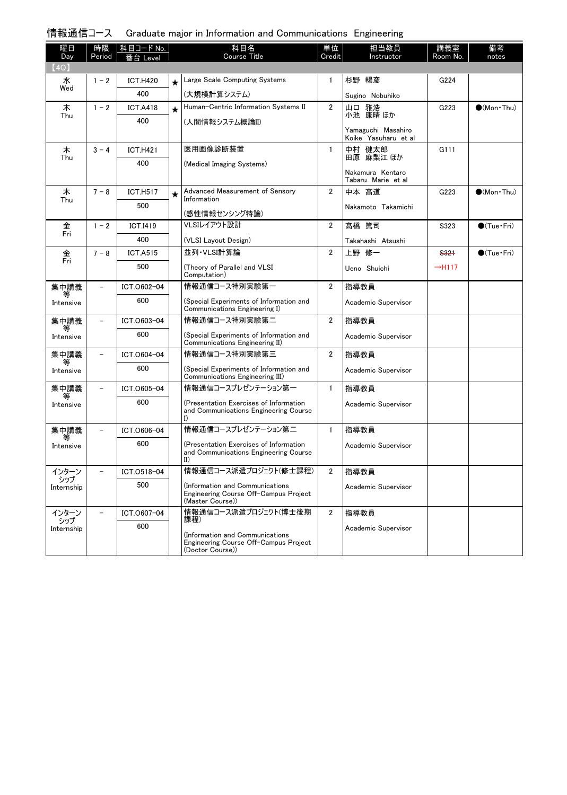|  |  |  | 情報通信コース Graduate major in Information and Communications Engineering |  |
|--|--|--|----------------------------------------------------------------------|--|
|--|--|--|----------------------------------------------------------------------|--|

| 曜日                | 時限                       | 科目コード No.       |         | 科目名                                                                                                 | 単位             | 担当教員                                       | 講義室                | 備考                   |
|-------------------|--------------------------|-----------------|---------|-----------------------------------------------------------------------------------------------------|----------------|--------------------------------------------|--------------------|----------------------|
| Day<br>(4Q)       | Period                   | 番台 Level        |         | <b>Course Title</b>                                                                                 | Credit         | Instructor                                 | Room No.           | notes                |
| 水                 | $1 - 2$                  | <b>ICT.H420</b> |         | Large Scale Computing Systems                                                                       | $\mathbf{1}$   | 杉野 暢彦                                      | G224               |                      |
| Wed               |                          | 400             | $\star$ | (大規模計算システム)                                                                                         |                |                                            |                    |                      |
| 木                 | $1 - 2$                  | <b>ICT.A418</b> |         | Human-Centric Information Systems II                                                                | $\overline{2}$ | Sugino Nobuhiko<br>山口 雅浩                   | G223               | $\bigcirc$ (Mon Thu) |
| Thu               |                          | 400             | $\star$ |                                                                                                     |                | 小池 康晴 ほか                                   |                    |                      |
|                   |                          |                 |         | (人間情報システム概論II)                                                                                      |                | Yamaguchi Masahiro<br>Koike Yasuharu et al |                    |                      |
| 木                 | $3 - 4$                  | <b>ICT.H421</b> |         | 医用画像診断装置                                                                                            | $\mathbf{1}$   | 中村 健太郎                                     | G111               |                      |
| Thu               |                          | 400             |         | (Medical Imaging Systems)                                                                           |                | 田原 麻梨江 ほか                                  |                    |                      |
|                   |                          |                 |         |                                                                                                     |                | Nakamura Kentaro<br>Tabaru Marie et al     |                    |                      |
| 木                 | $7 - 8$                  | <b>ICT.H517</b> | $\star$ | Advanced Measurement of Sensory<br>Information                                                      | $\overline{2}$ | 中本 高道                                      | G223               | $\bigcirc$ (Mon Thu) |
| Thu               |                          | 500             |         | (感性情報センシング特論)                                                                                       |                | Nakamoto Takamichi                         |                    |                      |
| 金                 | $1 - 2$                  | <b>ICT.I419</b> |         | VLSIレイアウト設計                                                                                         | $\overline{2}$ | 髙橋 篤司                                      | S323               | $\bigcirc$ (Tue Fri) |
| Fri               |                          | 400             |         | (VLSI Layout Design)                                                                                |                | Takahashi Atsushi                          |                    |                      |
| 金                 | $7 - 8$                  | <b>ICT.A515</b> |         | 並列·VLSI計算論                                                                                          | $\overline{2}$ | 上野 修一                                      | S321               | $\bigcirc$ (Tue Fri) |
| Fri               |                          | 500             |         | (Theory of Parallel and VLSI<br>Computation)                                                        |                | Ueno Shuichi                               | $\rightarrow$ H117 |                      |
| 集中講義              | $\overline{\phantom{0}}$ | ICT.0602-04     |         | 情報通信コース特別実験第一                                                                                       | 2              | 指導教員                                       |                    |                      |
| 等<br>Intensive    |                          | 600             |         | (Special Experiments of Information and<br>Communications Engineering I)                            |                | Academic Supervisor                        |                    |                      |
| 集中講義              | $\overline{\phantom{0}}$ | ICT.0603-04     |         | 情報通信コース特別実験第二                                                                                       | $\overline{2}$ | 指導教員                                       |                    |                      |
| 等<br>Intensive    |                          | 600             |         | (Special Experiments of Information and<br>Communications Engineering II)                           |                | Academic Supervisor                        |                    |                      |
| 集中講義              | $\overline{\phantom{0}}$ | ICT.0604-04     |         | 情報通信コース特別実験第三                                                                                       | $\overline{2}$ | 指導教員                                       |                    |                      |
| 等<br>Intensive    |                          | 600             |         | (Special Experiments of Information and<br>Communications Engineering III)                          |                | Academic Supervisor                        |                    |                      |
| 集中講義<br>等         | $\overline{\phantom{0}}$ | ICT.0605-04     |         | 情報通信コースプレゼンテーション第一                                                                                  | $\mathbf{1}$   | 指導教員                                       |                    |                      |
| Intensive         |                          | 600             |         | (Presentation Exercises of Information<br>and Communications Engineering Course                     |                | Academic Supervisor                        |                    |                      |
| 集中講義              |                          | ICT.0606-04     |         | 情報通信コースプレゼンテーション第二                                                                                  | $\mathbf{1}$   | 指導教員                                       |                    |                      |
| Intensive         |                          | 600             |         | (Presentation Exercises of Information<br>and Communications Engineering Course<br>$_{\text{II}}$   |                | Academic Supervisor                        |                    |                      |
| インターン             |                          | ICT.0518-04     |         | 情報通信コース派遣プロジェクト(修士課程)                                                                               | 2              | 指導教員                                       |                    |                      |
| シップ<br>Internship |                          | 500             |         | Information and Communications)<br>Engineering Course Off-Campus Project<br>(Master Course))        |                | Academic Supervisor                        |                    |                      |
| インターン             | $\overline{\phantom{0}}$ | ICT.0607-04     |         | 情報通信コース派遣プロジェクト(博士後期                                                                                | 2              | 指導教員                                       |                    |                      |
| シップ<br>Internship |                          | 600             |         | 課程)<br>Information and Communications)<br>Engineering Course Off-Campus Project<br>(Doctor Course)) |                | Academic Supervisor                        |                    |                      |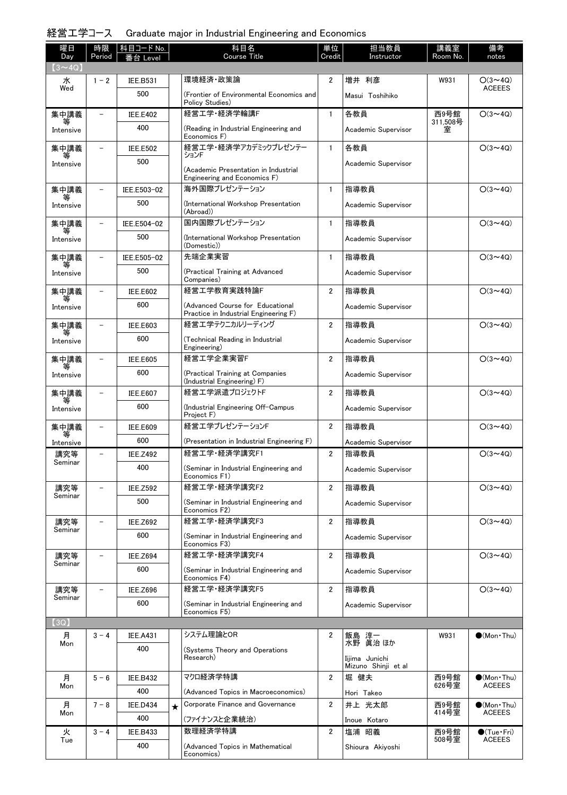# 経営工学コース Graduate major in Industrial Engineering and Economics

| 曜日<br>Day      | 時限<br>Period             | 科目コード No.<br>Leve |         | 科目名<br><b>Course Title</b>                                                | 単位<br>Credit   | 担当教員<br>Instructor                    | 講義室<br>Room No.     | 備考<br>notes                 |
|----------------|--------------------------|-------------------|---------|---------------------------------------------------------------------------|----------------|---------------------------------------|---------------------|-----------------------------|
| $(3 - 4Q)$     |                          |                   |         |                                                                           |                |                                       |                     |                             |
| 水              | $1 - 2$                  | <b>IEE.B531</b>   |         | 環境経済 政策論                                                                  | $\overline{2}$ | 増井 利彦                                 | W931                | $O(3 \sim 4Q)$              |
| Wed            |                          | 500               |         | (Frontier of Environmental Economics and<br>Policy Studies)               |                | Masui Toshihiko                       |                     | <b>ACEEES</b>               |
| 集中講義           |                          | <b>IEE.E402</b>   |         | 経営工学·経済学輪講F                                                               | $\mathbf{1}$   | 各教員                                   | 西9号館                | $O(3 \sim 4Q)$              |
| Intensive      |                          | 400               |         | (Reading in Industrial Engineering and<br>Economics F)                    |                | Academic Supervisor                   | 311,508号<br>室       |                             |
| 集中講義           |                          | <b>IEE.E502</b>   |         | 経営工学・経済学アカデミックプレゼンテー<br>ションド                                              | $\mathbf{1}$   | 各教員                                   |                     | $O(3 \sim 4Q)$              |
| Intensive      |                          | 500               |         | (Academic Presentation in Industrial<br>Engineering and Economics F)      |                | Academic Supervisor                   |                     |                             |
| 集中講義           |                          | IEE.E503-02       |         | 海外国際プレゼンテーション                                                             | $\mathbf{1}$   | 指導教員                                  |                     | $O(3 \sim 4Q)$              |
| Intensive      |                          | 500               |         | (International Workshop Presentation<br>(Abroad))                         |                | Academic Supervisor                   |                     |                             |
| 集中講義           |                          | IEE.E504-02       |         | 国内国際プレゼンテーション                                                             | $\mathbf{1}$   | 指導教員                                  |                     | $O(3 \sim 4Q)$              |
| Intensive      |                          | 500               |         | (International Workshop Presentation<br>(Domestic))                       |                | Academic Supervisor                   |                     |                             |
| 集中講義           |                          | IEE.E505-02       |         | 先端企業実習                                                                    | $\mathbf{1}$   | 指導教員                                  |                     | $O(3 \sim 4Q)$              |
| Intensive      |                          | 500               |         | (Practical Training at Advanced<br>Companies)                             |                | Academic Supervisor                   |                     |                             |
| 集中講義           |                          | <b>IEE.E602</b>   |         | 経営工学教育実践特論F                                                               | $\overline{2}$ | 指導教員                                  |                     | $O(3 \sim 4Q)$              |
| Intensive      |                          | 600               |         | (Advanced Course for Educational<br>Practice in Industrial Engineering F) |                | Academic Supervisor                   |                     |                             |
| 集中講義           |                          | <b>IEE.E603</b>   |         | 経営エ学テクニカルリーディング                                                           | $\overline{2}$ | 指導教員                                  |                     | $O(3 \sim 4Q)$              |
| Intensive      |                          | 600               |         | (Technical Reading in Industrial<br>Engineering)                          |                | Academic Supervisor                   |                     |                             |
| 集中講義           |                          | <b>IEE.E605</b>   |         | 経営工学企業実習F                                                                 | $\overline{2}$ | 指導教員                                  |                     | $O(3 \sim 4Q)$              |
| Intensive      |                          | 600               |         | (Practical Training at Companies<br>(Industrial Engineering) F)           |                | Academic Supervisor                   |                     |                             |
| 集中講義           |                          | <b>IEE.E607</b>   |         | 経営エ学派遣プロジェクトF                                                             | $\overline{2}$ | 指導教員                                  |                     | $O(3 \sim 4Q)$              |
| Intensive      |                          | 600               |         | (Industrial Engineering Off-Campus<br>Project F)                          |                | Academic Supervisor                   |                     |                             |
| 集中講義           |                          | <b>IEE.E609</b>   |         | 経営工学プレゼンテーションF                                                            | $\overline{2}$ | 指導教員                                  |                     | $O(3 \sim 4Q)$              |
| Intensive      |                          | 600               |         | (Presentation in Industrial Engineering F)                                |                | Academic Supervisor                   |                     |                             |
| 講究等<br>Seminar | -                        | <b>IEE.Z492</b>   |         | 経営工学·経済学講究F1                                                              | $\overline{2}$ | 指導教員                                  |                     | $O(3 \sim 4Q)$              |
|                |                          | 400               |         | (Seminar in Industrial Engineering and<br>Economics F1)                   |                | Academic Supervisor                   |                     |                             |
| 講究等<br>Seminar |                          | <b>IEE.Z592</b>   |         | 経営工学·経済学講究F2                                                              | $\overline{2}$ | 指導教員                                  |                     | $O(3 \sim 4Q)$              |
|                |                          | 500               |         | (Seminar in Industrial Engineering and<br>Economics F2)                   |                | Academic Supervisor                   |                     |                             |
| 講究等<br>Seminar |                          | <b>IEE.Z692</b>   |         | 経営工学·経済学講究F3                                                              | $\overline{2}$ | 指導教員                                  |                     | $O(3 \sim 4Q)$              |
|                |                          | 600               |         | (Seminar in Industrial Engineering and<br>Economics F3)                   |                | Academic Supervisor                   |                     |                             |
| 講究等<br>Seminar | $\overline{\phantom{0}}$ | <b>IEE.Z694</b>   |         | 経営工学·経済学講究F4                                                              | $\overline{2}$ | 指導教員                                  |                     | $O(3 \sim 4Q)$              |
|                |                          | 600               |         | (Seminar in Industrial Engineering and<br>Economics F4)                   |                | Academic Supervisor                   |                     |                             |
| 講究等<br>Seminar | $\overline{\phantom{0}}$ | <b>IEE.Z696</b>   |         | 経営工学·経済学講究F5                                                              | $\overline{2}$ | 指導教員                                  |                     | $O(3 \sim 4Q)$              |
|                |                          | 600               |         | (Seminar in Industrial Engineering and<br>Economics F5)                   |                | Academic Supervisor                   |                     |                             |
| (3Q)           |                          |                   |         |                                                                           |                |                                       |                     |                             |
| 月<br>Mon       | $3 - 4$                  | <b>IEE.A431</b>   |         | システム理論とOR                                                                 | 2              | 飯島 淳一<br>水野 眞治 ほか                     | W931                | $\bullet$ (Mon Thu)         |
|                |                          | 400               |         | (Systems Theory and Operations<br>Research)                               |                | Iijima Junichi<br>Mizuno Shinji et al |                     |                             |
| 月              | $5 - 6$                  | <b>IEE.B432</b>   |         | マクロ経済学特講                                                                  | $\overline{2}$ | 堀 健夫                                  | 西9号館                | $\bullet$ (Mon Thu)         |
| Mon            |                          | 400               |         | (Advanced Topics in Macroeconomics)                                       |                | Hori Takeo                            | $626 - \frac{3}{2}$ | <b>ACEEES</b>               |
| 月              | $7 - 8$                  | <b>IEE.D434</b>   | $\star$ | Corporate Finance and Governance                                          | $\overline{2}$ | 井上 光太郎                                | 西9号館                | $\bullet$ (Mon Thu)         |
| Mon            |                          | 400               |         | (ファイナンスと企業統治)                                                             |                | Inoue Kotaro                          | 414号室               | <b>ACEEES</b>               |
| 火              | $3 - 4$                  | <b>IEE.B433</b>   |         | 数理経済学特講                                                                   | $\overline{2}$ | 塩浦 昭義                                 | 西9号館                | $\bullet$ (Tue $\cdot$ Fri) |
| Tue            |                          | 400               |         | (Advanced Topics in Mathematical<br>Economics)                            |                | Shioura Akiyoshi                      | 508号室               | <b>ACEEES</b>               |